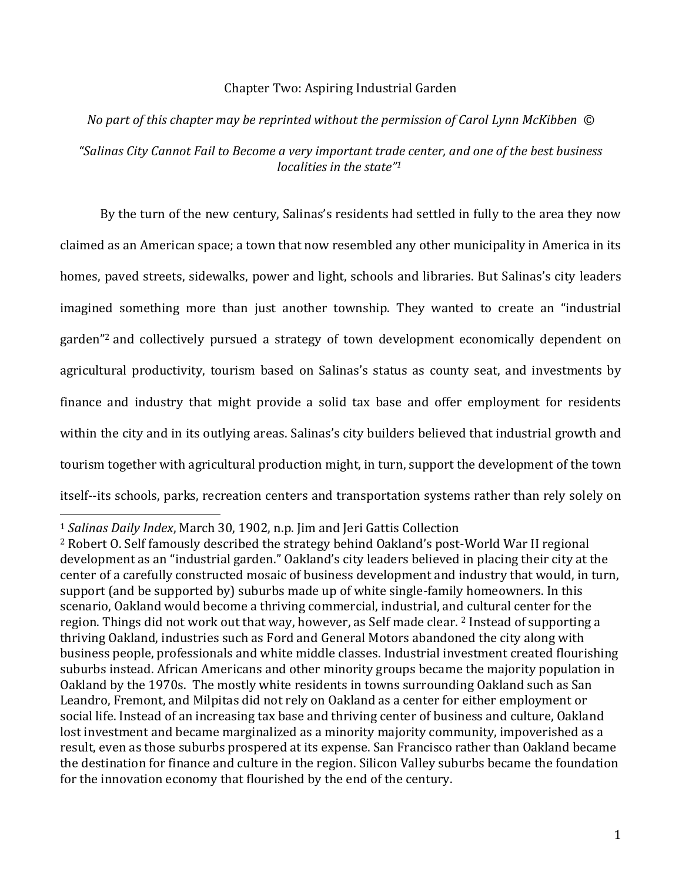### Chapter Two: Aspiring Industrial Garden

# *No part of this chapter may be reprinted without the permission of Carol Lynn McKibben © "Salinas City Cannot Fail to Become a very important trade center, and one of the best business localities in the state"<sup>1</sup>*

By the turn of the new century, Salinas's residents had settled in fully to the area they now claimed as an American space; a town that now resembled any other municipality in America in its homes, paved streets, sidewalks, power and light, schools and libraries. But Salinas's city leaders imagined something more than just another township. They wanted to create an "industrial garden"<sup>2</sup> and collectively pursued a strategy of town development economically dependent on agricultural productivity, tourism based on Salinas's status as county seat, and investments by finance and industry that might provide a solid tax base and offer employment for residents within the city and in its outlying areas. Salinas's city builders believed that industrial growth and tourism together with agricultural production might, in turn, support the development of the town itself--its schools, parks, recreation centers and transportation systems rather than rely solely on

<sup>1</sup> *Salinas Daily Index*, March 30, 1902, n.p. Jim and Jeri Gattis Collection

<sup>2</sup> Robert O. Self famously described the strategy behind Oakland's post-World War II regional development as an "industrial garden." Oakland's city leaders believed in placing their city at the center of a carefully constructed mosaic of business development and industry that would, in turn, support (and be supported by) suburbs made up of white single-family homeowners. In this scenario, Oakland would become a thriving commercial, industrial, and cultural center for the region. Things did not work out that way, however, as Self made clear. <sup>2</sup> Instead of supporting a thriving Oakland, industries such as Ford and General Motors abandoned the city along with business people, professionals and white middle classes. Industrial investment created flourishing suburbs instead. African Americans and other minority groups became the majority population in Oakland by the 1970s. The mostly white residents in towns surrounding Oakland such as San Leandro, Fremont, and Milpitas did not rely on Oakland as a center for either employment or social life. Instead of an increasing tax base and thriving center of business and culture, Oakland lost investment and became marginalized as a minority majority community, impoverished as a result, even as those suburbs prospered at its expense. San Francisco rather than Oakland became the destination for finance and culture in the region. Silicon Valley suburbs became the foundation for the innovation economy that flourished by the end of the century.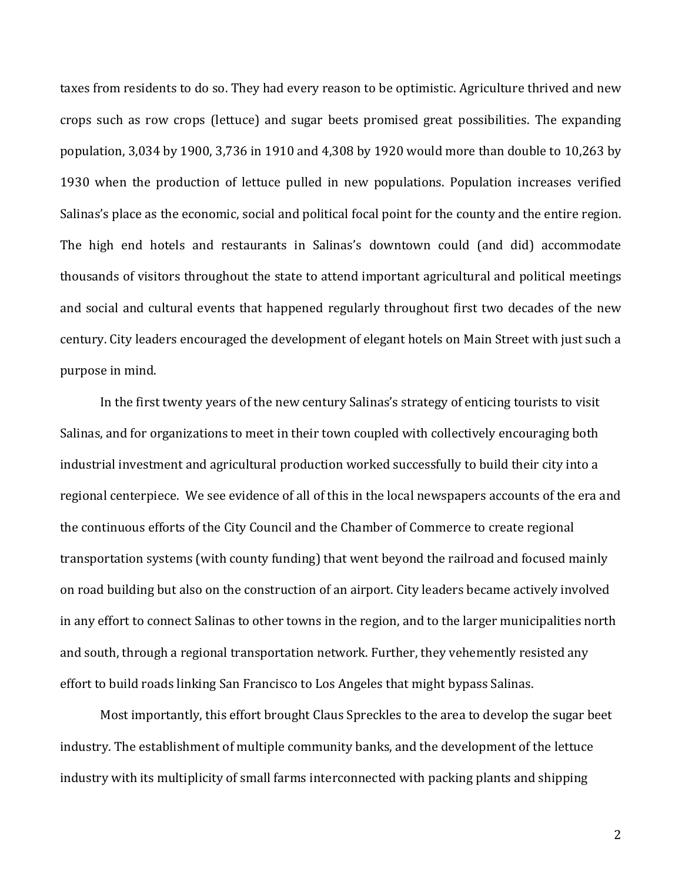taxes from residents to do so. They had every reason to be optimistic. Agriculture thrived and new crops such as row crops (lettuce) and sugar beets promised great possibilities. The expanding population, 3,034 by 1900, 3,736 in 1910 and 4,308 by 1920 would more than double to 10,263 by 1930 when the production of lettuce pulled in new populations. Population increases verified Salinas's place as the economic, social and political focal point for the county and the entire region. The high end hotels and restaurants in Salinas's downtown could (and did) accommodate thousands of visitors throughout the state to attend important agricultural and political meetings and social and cultural events that happened regularly throughout first two decades of the new century. City leaders encouraged the development of elegant hotels on Main Street with just such a purpose in mind.

In the first twenty years of the new century Salinas's strategy of enticing tourists to visit Salinas, and for organizations to meet in their town coupled with collectively encouraging both industrial investment and agricultural production worked successfully to build their city into a regional centerpiece. We see evidence of all of this in the local newspapers accounts of the era and the continuous efforts of the City Council and the Chamber of Commerce to create regional transportation systems (with county funding) that went beyond the railroad and focused mainly on road building but also on the construction of an airport. City leaders became actively involved in any effort to connect Salinas to other towns in the region, and to the larger municipalities north and south, through a regional transportation network. Further, they vehemently resisted any effort to build roads linking San Francisco to Los Angeles that might bypass Salinas.

Most importantly, this effort brought Claus Spreckles to the area to develop the sugar beet industry. The establishment of multiple community banks, and the development of the lettuce industry with its multiplicity of small farms interconnected with packing plants and shipping

2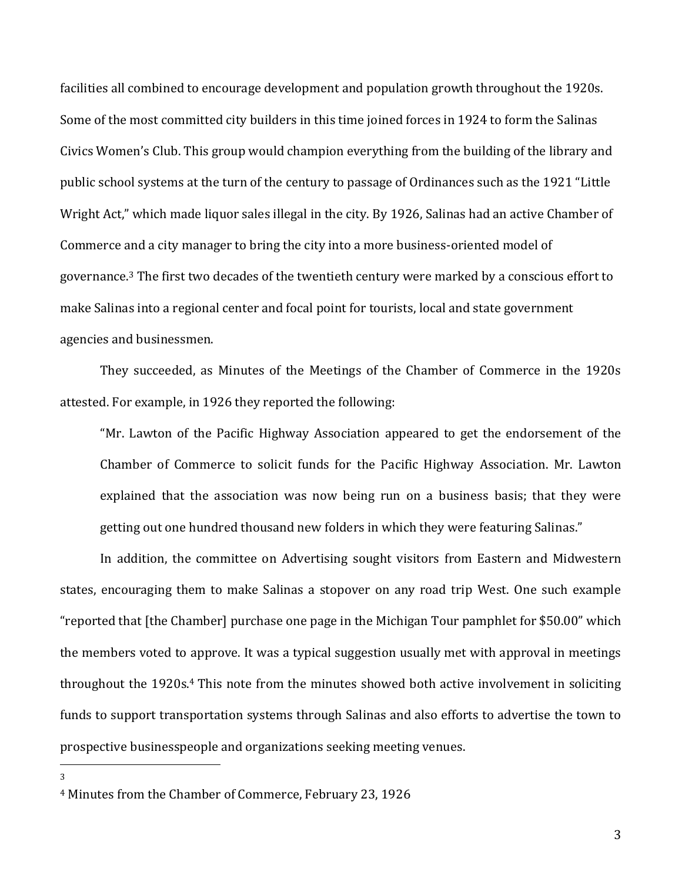facilities all combined to encourage development and population growth throughout the 1920s. Some of the most committed city builders in this time joined forces in 1924 to form the Salinas Civics Women's Club. This group would champion everything from the building of the library and public school systems at the turn of the century to passage of Ordinances such as the 1921 "Little Wright Act," which made liquor sales illegal in the city. By 1926, Salinas had an active Chamber of Commerce and a city manager to bring the city into a more business-oriented model of governance.<sup>3</sup> The first two decades of the twentieth century were marked by a conscious effort to make Salinas into a regional center and focal point for tourists, local and state government agencies and businessmen.

They succeeded, as Minutes of the Meetings of the Chamber of Commerce in the 1920s attested. For example, in 1926 they reported the following:

"Mr. Lawton of the Pacific Highway Association appeared to get the endorsement of the Chamber of Commerce to solicit funds for the Pacific Highway Association. Mr. Lawton explained that the association was now being run on a business basis; that they were getting out one hundred thousand new folders in which they were featuring Salinas."

In addition, the committee on Advertising sought visitors from Eastern and Midwestern states, encouraging them to make Salinas a stopover on any road trip West. One such example "reported that [the Chamber] purchase one page in the Michigan Tour pamphlet for \$50.00" which the members voted to approve. It was a typical suggestion usually met with approval in meetings throughout the 1920s.<sup>4</sup> This note from the minutes showed both active involvement in soliciting funds to support transportation systems through Salinas and also efforts to advertise the town to prospective businesspeople and organizations seeking meeting venues.

<sup>4</sup> Minutes from the Chamber of Commerce, February 23, 1926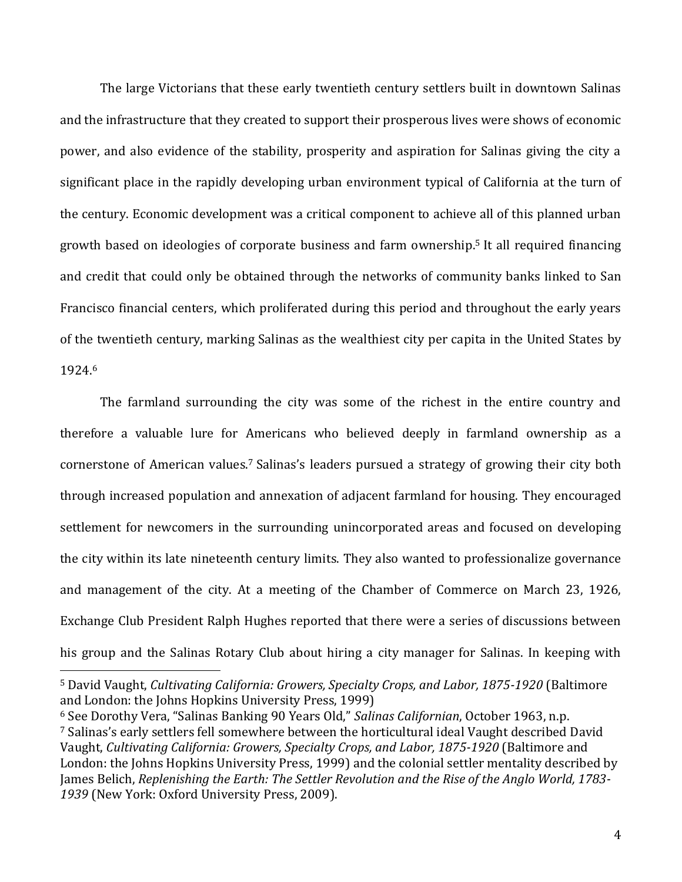The large Victorians that these early twentieth century settlers built in downtown Salinas and the infrastructure that they created to support their prosperous lives were shows of economic power, and also evidence of the stability, prosperity and aspiration for Salinas giving the city a significant place in the rapidly developing urban environment typical of California at the turn of the century. Economic development was a critical component to achieve all of this planned urban growth based on ideologies of corporate business and farm ownership.<sup>5</sup> It all required financing and credit that could only be obtained through the networks of community banks linked to San Francisco financial centers, which proliferated during this period and throughout the early years of the twentieth century, marking Salinas as the wealthiest city per capita in the United States by 1924.<sup>6</sup>

The farmland surrounding the city was some of the richest in the entire country and therefore a valuable lure for Americans who believed deeply in farmland ownership as a cornerstone of American values.<sup>7</sup> Salinas's leaders pursued a strategy of growing their city both through increased population and annexation of adjacent farmland for housing. They encouraged settlement for newcomers in the surrounding unincorporated areas and focused on developing the city within its late nineteenth century limits. They also wanted to professionalize governance and management of the city. At a meeting of the Chamber of Commerce on March 23, 1926, Exchange Club President Ralph Hughes reported that there were a series of discussions between his group and the Salinas Rotary Club about hiring a city manager for Salinas. In keeping with

<sup>5</sup> David Vaught, *Cultivating California: Growers, Specialty Crops, and Labor, 1875-1920* (Baltimore and London: the Johns Hopkins University Press, 1999)

<sup>6</sup> See Dorothy Vera, "Salinas Banking 90 Years Old," *Salinas Californian*, October 1963, n.p. <sup>7</sup> Salinas's early settlers fell somewhere between the horticultural ideal Vaught described David Vaught, *Cultivating California: Growers, Specialty Crops, and Labor, 1875-1920* (Baltimore and London: the Johns Hopkins University Press, 1999) and the colonial settler mentality described by James Belich, *Replenishing the Earth: The Settler Revolution and the Rise of the Anglo World, 1783- 1939* (New York: Oxford University Press, 2009).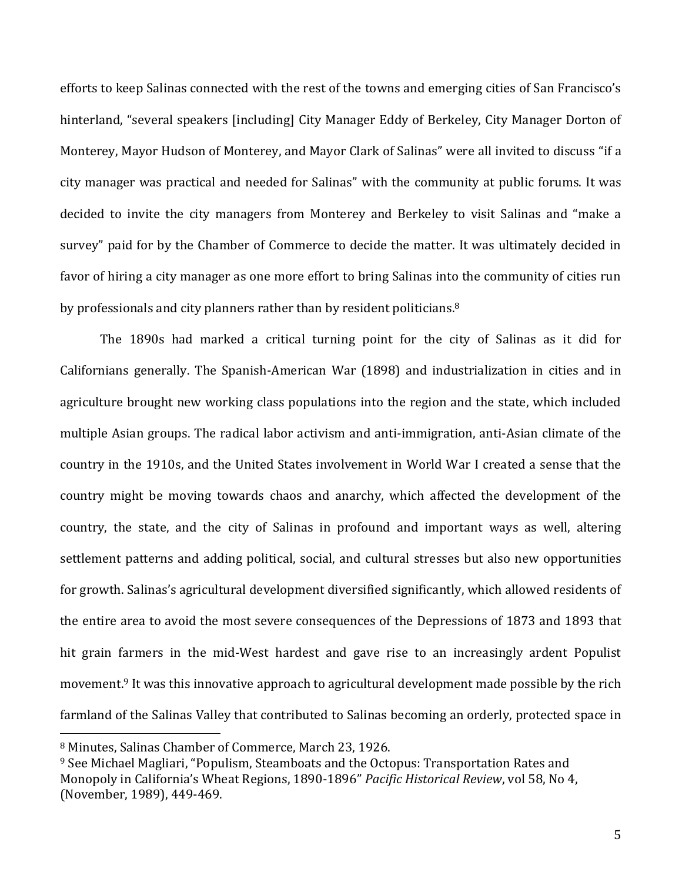efforts to keep Salinas connected with the rest of the towns and emerging cities of San Francisco's hinterland, "several speakers [including] City Manager Eddy of Berkeley, City Manager Dorton of Monterey, Mayor Hudson of Monterey, and Mayor Clark of Salinas" were all invited to discuss "if a city manager was practical and needed for Salinas" with the community at public forums. It was decided to invite the city managers from Monterey and Berkeley to visit Salinas and "make a survey" paid for by the Chamber of Commerce to decide the matter. It was ultimately decided in favor of hiring a city manager as one more effort to bring Salinas into the community of cities run by professionals and city planners rather than by resident politicians.<sup>8</sup>

The 1890s had marked a critical turning point for the city of Salinas as it did for Californians generally. The Spanish-American War (1898) and industrialization in cities and in agriculture brought new working class populations into the region and the state, which included multiple Asian groups. The radical labor activism and anti-immigration, anti-Asian climate of the country in the 1910s, and the United States involvement in World War I created a sense that the country might be moving towards chaos and anarchy, which affected the development of the country, the state, and the city of Salinas in profound and important ways as well, altering settlement patterns and adding political, social, and cultural stresses but also new opportunities for growth. Salinas's agricultural development diversified significantly, which allowed residents of the entire area to avoid the most severe consequences of the Depressions of 1873 and 1893 that hit grain farmers in the mid-West hardest and gave rise to an increasingly ardent Populist movement.<sup>9</sup> It was this innovative approach to agricultural development made possible by the rich farmland of the Salinas Valley that contributed to Salinas becoming an orderly, protected space in

<sup>8</sup> Minutes, Salinas Chamber of Commerce, March 23, 1926.

<sup>9</sup> See Michael Magliari, "Populism, Steamboats and the Octopus: Transportation Rates and Monopoly in California's Wheat Regions, 1890-1896" *Pacific Historical Review*, vol 58, No 4, (November, 1989), 449-469.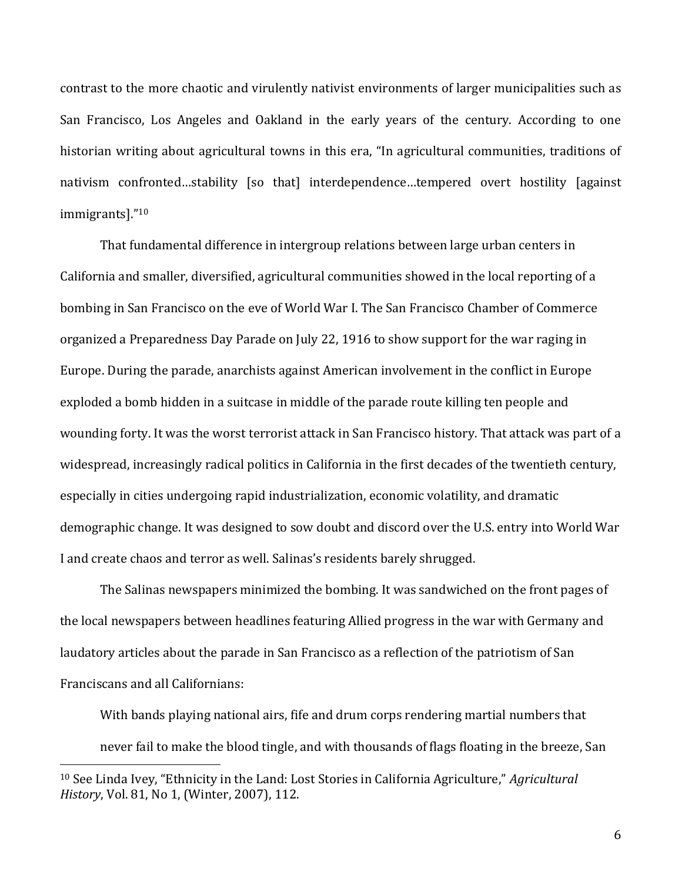contrast to the more chaotic and virulently nativist environments of larger municipalities such as San Francisco, Los Angeles and Oakland in the early years of the century. According to one historian writing about agricultural towns in this era, "In agricultural communities, traditions of nativism confronted...stability [so that] interdependence...tempered overt hostility [against immigrants]."<sup>10</sup>

That fundamental difference in intergroup relations between large urban centers in California and smaller, diversified, agricultural communities showed in the local reporting of a bombing in San Francisco on the eve of World War I. The San Francisco Chamber of Commerce organized a Preparedness Day Parade on July 22, 1916 to show support for the war raging in Europe. During the parade, anarchists against American involvement in the conflict in Europe exploded a bomb hidden in a suitcase in middle of the parade route killing ten people and wounding forty. It was the worst terrorist attack in San Francisco history. That attack was part of a widespread, increasingly radical politics in California in the first decades of the twentieth century, especially in cities undergoing rapid industrialization, economic volatility, and dramatic demographic change. It was designed to sow doubt and discord over the U.S. entry into World War I and create chaos and terror as well. Salinas's residents barely shrugged.

The Salinas newspapers minimized the bombing. It was sandwiched on the front pages of the local newspapers between headlines featuring Allied progress in the war with Germany and laudatory articles about the parade in San Francisco as a reflection of the patriotism of San Franciscans and all Californians:

With bands playing national airs, fife and drum corps rendering martial numbers that never fail to make the blood tingle, and with thousands of flags floating in the breeze, San

<sup>10</sup> See Linda Ivey, "Ethnicity in the Land: Lost Stories in California Agriculture," *Agricultural History*, Vol. 81, No 1, (Winter, 2007), 112.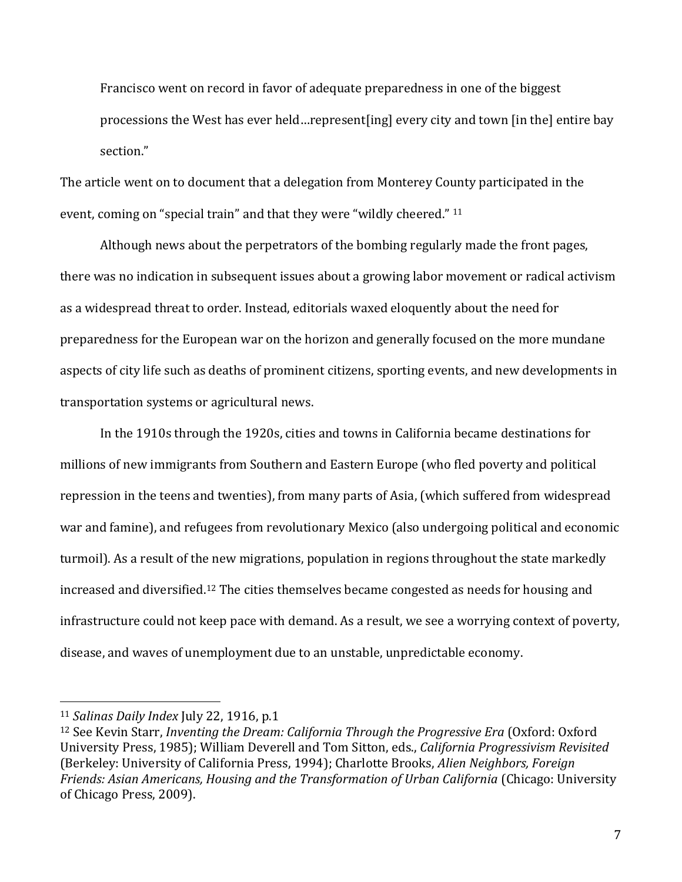Francisco went on record in favor of adequate preparedness in one of the biggest processions the West has ever held…represent[ing] every city and town [in the] entire bay section."

The article went on to document that a delegation from Monterey County participated in the event, coming on "special train" and that they were "wildly cheered." <sup>11</sup>

Although news about the perpetrators of the bombing regularly made the front pages, there was no indication in subsequent issues about a growing labor movement or radical activism as a widespread threat to order. Instead, editorials waxed eloquently about the need for preparedness for the European war on the horizon and generally focused on the more mundane aspects of city life such as deaths of prominent citizens, sporting events, and new developments in transportation systems or agricultural news.

In the 1910s through the 1920s, cities and towns in California became destinations for millions of new immigrants from Southern and Eastern Europe (who fled poverty and political repression in the teens and twenties), from many parts of Asia, (which suffered from widespread war and famine), and refugees from revolutionary Mexico (also undergoing political and economic turmoil). As a result of the new migrations, population in regions throughout the state markedly increased and diversified. <sup>12</sup> The cities themselves became congested as needs for housing and infrastructure could not keep pace with demand. As a result, we see a worrying context of poverty, disease, and waves of unemployment due to an unstable, unpredictable economy.

<sup>11</sup> *Salinas Daily Index* July 22, 1916, p.1

<sup>&</sup>lt;sup>12</sup> See Kevin Starr, *Inventing the Dream: California Through the Progressive Era* (Oxford: Oxford University Press, 1985); William Deverell and Tom Sitton, eds., *California Progressivism Revisited* (Berkeley: University of California Press, 1994); Charlotte Brooks, *Alien Neighbors, Foreign Friends: Asian Americans, Housing and the Transformation of Urban California* (Chicago: University of Chicago Press, 2009).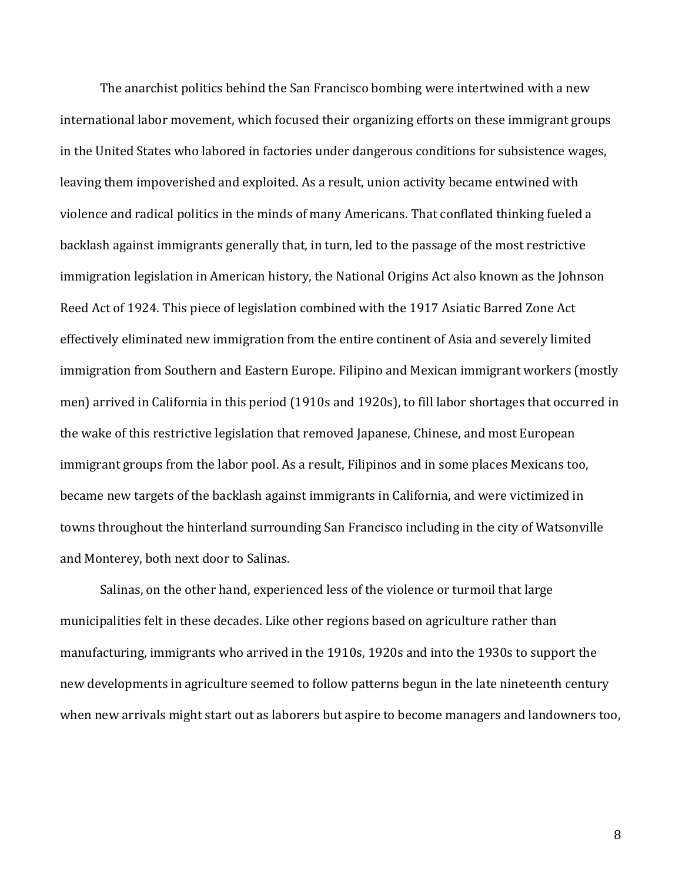The anarchist politics behind the San Francisco bombing were intertwined with a new international labor movement, which focused their organizing efforts on these immigrant groups in the United States who labored in factories under dangerous conditions for subsistence wages, leaving them impoverished and exploited. As a result, union activity became entwined with violence and radical politics in the minds of many Americans. That conflated thinking fueled a backlash against immigrants generally that, in turn, led to the passage of the most restrictive immigration legislation in American history, the National Origins Act also known as the Johnson Reed Act of 1924. This piece of legislation combined with the 1917 Asiatic Barred Zone Act effectively eliminated new immigration from the entire continent of Asia and severely limited immigration from Southern and Eastern Europe. Filipino and Mexican immigrant workers (mostly men) arrived in California in this period (1910s and 1920s), to fill labor shortages that occurred in the wake of this restrictive legislation that removed Japanese, Chinese, and most European immigrant groups from the labor pool. As a result, Filipinos and in some places Mexicans too, became new targets of the backlash against immigrants in California, and were victimized in towns throughout the hinterland surrounding San Francisco including in the city of Watsonville and Monterey, both next door to Salinas.

Salinas, on the other hand, experienced less of the violence or turmoil that large municipalities felt in these decades. Like other regions based on agriculture rather than manufacturing, immigrants who arrived in the 1910s, 1920s and into the 1930s to support the new developments in agriculture seemed to follow patterns begun in the late nineteenth century when new arrivals might start out as laborers but aspire to become managers and landowners too,

8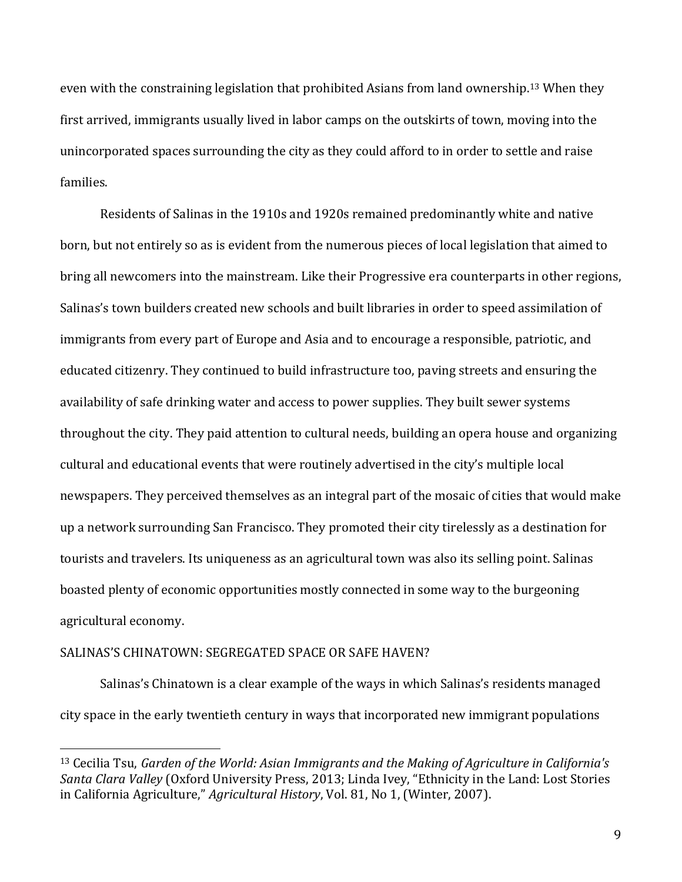even with the constraining legislation that prohibited Asians from land ownership. <sup>13</sup> When they first arrived, immigrants usually lived in labor camps on the outskirts of town, moving into the unincorporated spaces surrounding the city as they could afford to in order to settle and raise families.

Residents of Salinas in the 1910s and 1920s remained predominantly white and native born, but not entirely so as is evident from the numerous pieces of local legislation that aimed to bring all newcomers into the mainstream. Like their Progressive era counterparts in other regions, Salinas's town builders created new schools and built libraries in order to speed assimilation of immigrants from every part of Europe and Asia and to encourage a responsible, patriotic, and educated citizenry. They continued to build infrastructure too, paving streets and ensuring the availability of safe drinking water and access to power supplies. They built sewer systems throughout the city. They paid attention to cultural needs, building an opera house and organizing cultural and educational events that were routinely advertised in the city's multiple local newspapers. They perceived themselves as an integral part of the mosaic of cities that would make up a network surrounding San Francisco. They promoted their city tirelessly as a destination for tourists and travelers. Its uniqueness as an agricultural town was also its selling point. Salinas boasted plenty of economic opportunities mostly connected in some way to the burgeoning agricultural economy.

## SALINAS'S CHINATOWN: SEGREGATED SPACE OR SAFE HAVEN?

 $\overline{a}$ 

Salinas's Chinatown is a clear example of the ways in which Salinas's residents managed city space in the early twentieth century in ways that incorporated new immigrant populations

<sup>13</sup> Cecilia Tsu, *Garden of the World: Asian Immigrants and the Making of Agriculture in California's Santa Clara Valley* (Oxford University Press, 2013; Linda Ivey, "Ethnicity in the Land: Lost Stories in California Agriculture," *Agricultural History*, Vol. 81, No 1, (Winter, 2007).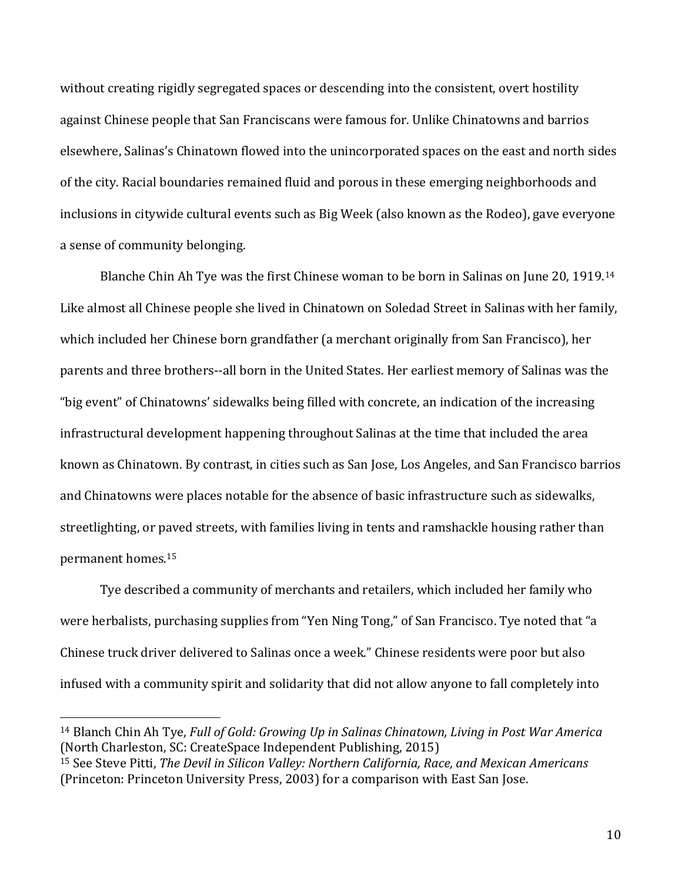without creating rigidly segregated spaces or descending into the consistent, overt hostility against Chinese people that San Franciscans were famous for. Unlike Chinatowns and barrios elsewhere, Salinas's Chinatown flowed into the unincorporated spaces on the east and north sides of the city. Racial boundaries remained fluid and porous in these emerging neighborhoods and inclusions in citywide cultural events such as Big Week (also known as the Rodeo), gave everyone a sense of community belonging.

Blanche Chin Ah Tye was the first Chinese woman to be born in Salinas on June 20, 1919.<sup>14</sup> Like almost all Chinese people she lived in Chinatown on Soledad Street in Salinas with her family, which included her Chinese born grandfather (a merchant originally from San Francisco), her parents and three brothers--all born in the United States. Her earliest memory of Salinas was the "big event" of Chinatowns' sidewalks being filled with concrete, an indication of the increasing infrastructural development happening throughout Salinas at the time that included the area known as Chinatown. By contrast, in cities such as San Jose, Los Angeles, and San Francisco barrios and Chinatowns were places notable for the absence of basic infrastructure such as sidewalks, streetlighting, or paved streets, with families living in tents and ramshackle housing rather than permanent homes.<sup>15</sup>

Tye described a community of merchants and retailers, which included her family who were herbalists, purchasing supplies from "Yen Ning Tong," of San Francisco. Tye noted that "a Chinese truck driver delivered to Salinas once a week." Chinese residents were poor but also infused with a community spirit and solidarity that did not allow anyone to fall completely into

<sup>14</sup> Blanch Chin Ah Tye, *Full of Gold: Growing Up in Salinas Chinatown, Living in Post War America* (North Charleston, SC: CreateSpace Independent Publishing, 2015)

<sup>15</sup> See Steve Pitti, *The Devil in Silicon Valley: Northern California, Race, and Mexican Americans* (Princeton: Princeton University Press, 2003) for a comparison with East San Jose.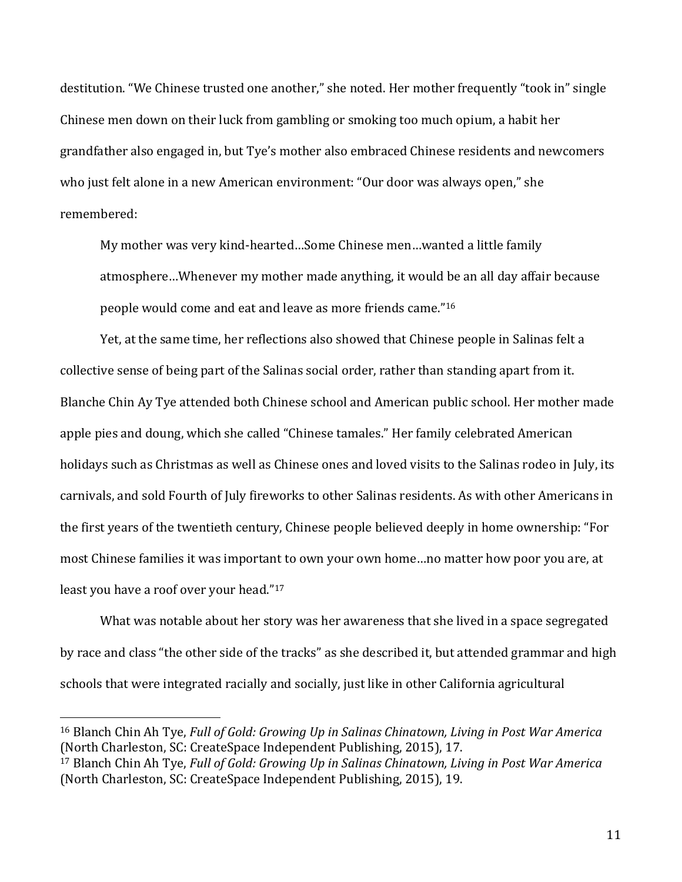destitution. "We Chinese trusted one another," she noted. Her mother frequently "took in" single Chinese men down on their luck from gambling or smoking too much opium, a habit her grandfather also engaged in, but Tye's mother also embraced Chinese residents and newcomers who just felt alone in a new American environment: "Our door was always open," she remembered:

My mother was very kind-hearted…Some Chinese men…wanted a little family atmosphere…Whenever my mother made anything, it would be an all day affair because people would come and eat and leave as more friends came." 16

Yet, at the same time, her reflections also showed that Chinese people in Salinas felt a collective sense of being part of the Salinas social order, rather than standing apart from it. Blanche Chin Ay Tye attended both Chinese school and American public school. Her mother made apple pies and doung, which she called "Chinese tamales." Her family celebrated American holidays such as Christmas as well as Chinese ones and loved visits to the Salinas rodeo in July, its carnivals, and sold Fourth of July fireworks to other Salinas residents. As with other Americans in the first years of the twentieth century, Chinese people believed deeply in home ownership: "For most Chinese families it was important to own your own home…no matter how poor you are, at least you have a roof over your head."<sup>17</sup>

What was notable about her story was her awareness that she lived in a space segregated by race and class "the other side of the tracks" as she described it, but attended grammar and high schools that were integrated racially and socially, just like in other California agricultural

<sup>16</sup> Blanch Chin Ah Tye, *Full of Gold: Growing Up in Salinas Chinatown, Living in Post War America* (North Charleston, SC: CreateSpace Independent Publishing, 2015), 17.

<sup>17</sup> Blanch Chin Ah Tye, *Full of Gold: Growing Up in Salinas Chinatown, Living in Post War America* (North Charleston, SC: CreateSpace Independent Publishing, 2015), 19.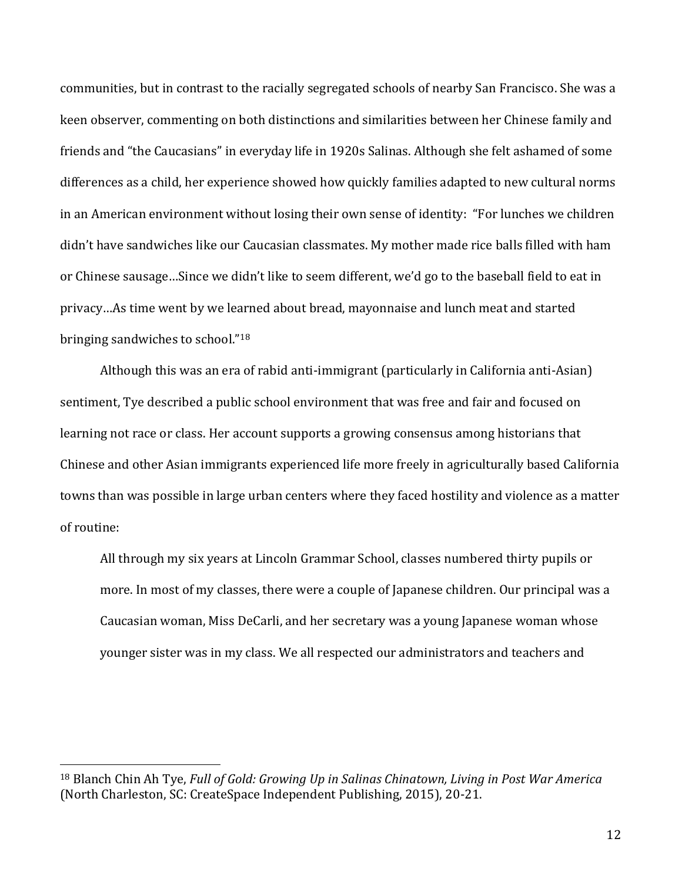communities, but in contrast to the racially segregated schools of nearby San Francisco. She was a keen observer, commenting on both distinctions and similarities between her Chinese family and friends and "the Caucasians" in everyday life in 1920s Salinas. Although she felt ashamed of some differences as a child, her experience showed how quickly families adapted to new cultural norms in an American environment without losing their own sense of identity: "For lunches we children didn't have sandwiches like our Caucasian classmates. My mother made rice balls filled with ham or Chinese sausage…Since we didn't like to seem different, we'd go to the baseball field to eat in privacy…As time went by we learned about bread, mayonnaise and lunch meat and started bringing sandwiches to school."<sup>18</sup>

Although this was an era of rabid anti-immigrant (particularly in California anti-Asian) sentiment, Tye described a public school environment that was free and fair and focused on learning not race or class. Her account supports a growing consensus among historians that Chinese and other Asian immigrants experienced life more freely in agriculturally based California towns than was possible in large urban centers where they faced hostility and violence as a matter of routine:

All through my six years at Lincoln Grammar School, classes numbered thirty pupils or more. In most of my classes, there were a couple of Japanese children. Our principal was a Caucasian woman, Miss DeCarli, and her secretary was a young Japanese woman whose younger sister was in my class. We all respected our administrators and teachers and

<sup>18</sup> Blanch Chin Ah Tye, *Full of Gold: Growing Up in Salinas Chinatown, Living in Post War America* (North Charleston, SC: CreateSpace Independent Publishing, 2015), 20-21.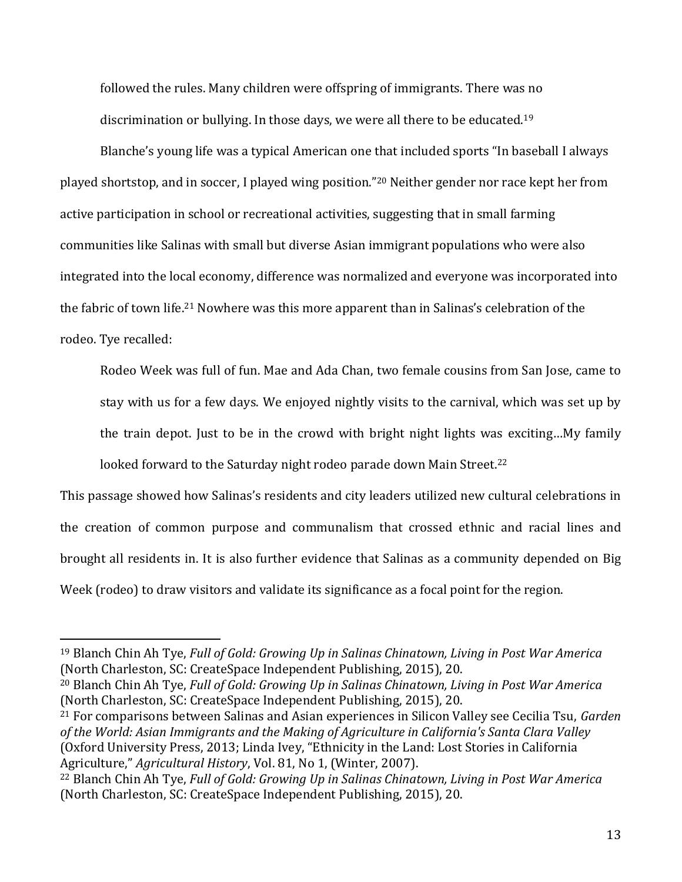followed the rules. Many children were offspring of immigrants. There was no discrimination or bullying. In those days, we were all there to be educated.<sup>19</sup>

Blanche's young life was a typical American one that included sports "In baseball I always played shortstop, and in soccer, I played wing position."<sup>20</sup> Neither gender nor race kept her from active participation in school or recreational activities, suggesting that in small farming communities like Salinas with small but diverse Asian immigrant populations who were also integrated into the local economy, difference was normalized and everyone was incorporated into the fabric of town life.<sup>21</sup> Nowhere was this more apparent than in Salinas's celebration of the rodeo. Tye recalled:

Rodeo Week was full of fun. Mae and Ada Chan, two female cousins from San Jose, came to stay with us for a few days. We enjoyed nightly visits to the carnival, which was set up by the train depot. Just to be in the crowd with bright night lights was exciting…My family

looked forward to the Saturday night rodeo parade down Main Street.<sup>22</sup>

This passage showed how Salinas's residents and city leaders utilized new cultural celebrations in the creation of common purpose and communalism that crossed ethnic and racial lines and brought all residents in. It is also further evidence that Salinas as a community depended on Big Week (rodeo) to draw visitors and validate its significance as a focal point for the region.

<sup>19</sup> Blanch Chin Ah Tye, *Full of Gold: Growing Up in Salinas Chinatown, Living in Post War America* (North Charleston, SC: CreateSpace Independent Publishing, 2015), 20.

<sup>20</sup> Blanch Chin Ah Tye, *Full of Gold: Growing Up in Salinas Chinatown, Living in Post War America* (North Charleston, SC: CreateSpace Independent Publishing, 2015), 20.

<sup>21</sup> For comparisons between Salinas and Asian experiences in Silicon Valley see Cecilia Tsu, *Garden of the World: Asian Immigrants and the Making of Agriculture in California's Santa Clara Valley* (Oxford University Press, 2013; Linda Ivey, "Ethnicity in the Land: Lost Stories in California Agriculture," *Agricultural History*, Vol. 81, No 1, (Winter, 2007).

<sup>22</sup> Blanch Chin Ah Tye, *Full of Gold: Growing Up in Salinas Chinatown, Living in Post War America* (North Charleston, SC: CreateSpace Independent Publishing, 2015), 20.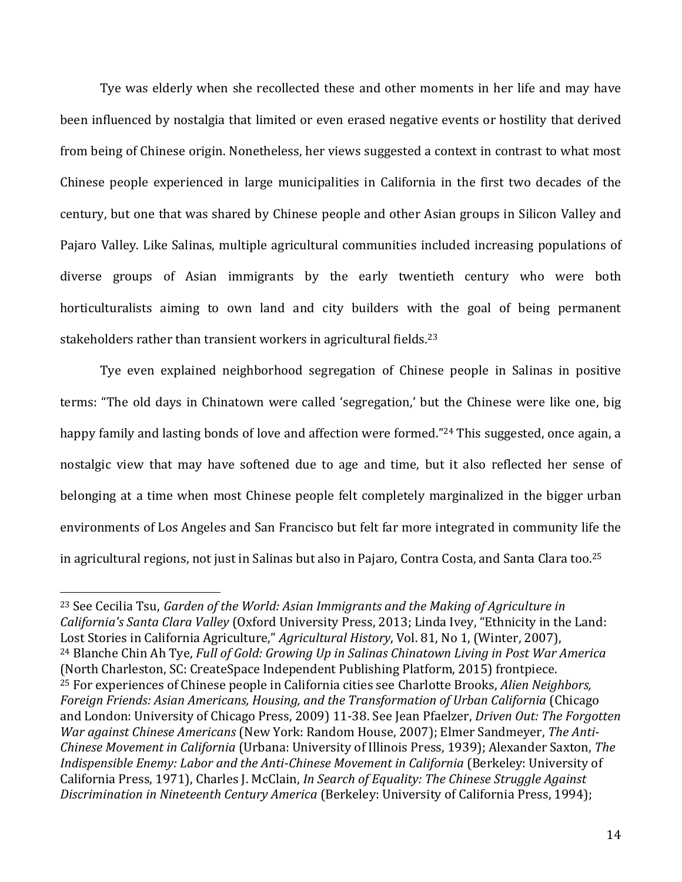Tye was elderly when she recollected these and other moments in her life and may have been influenced by nostalgia that limited or even erased negative events or hostility that derived from being of Chinese origin. Nonetheless, her views suggested a context in contrast to what most Chinese people experienced in large municipalities in California in the first two decades of the century, but one that was shared by Chinese people and other Asian groups in Silicon Valley and Pajaro Valley. Like Salinas, multiple agricultural communities included increasing populations of diverse groups of Asian immigrants by the early twentieth century who were both horticulturalists aiming to own land and city builders with the goal of being permanent stakeholders rather than transient workers in agricultural fields.<sup>23</sup>

Tye even explained neighborhood segregation of Chinese people in Salinas in positive terms: "The old days in Chinatown were called 'segregation,' but the Chinese were like one, big happy family and lasting bonds of love and affection were formed."<sup>24</sup> This suggested, once again, a nostalgic view that may have softened due to age and time, but it also reflected her sense of belonging at a time when most Chinese people felt completely marginalized in the bigger urban environments of Los Angeles and San Francisco but felt far more integrated in community life the in agricultural regions, not just in Salinas but also in Pajaro, Contra Costa, and Santa Clara too. 25

<sup>23</sup> See Cecilia Tsu, *Garden of the World: Asian Immigrants and the Making of Agriculture in California's Santa Clara Valley* (Oxford University Press, 2013; Linda Ivey, "Ethnicity in the Land: Lost Stories in California Agriculture," *Agricultural History*, Vol. 81, No 1, (Winter, 2007), <sup>24</sup> Blanche Chin Ah Tye, *Full of Gold: Growing Up in Salinas Chinatown Living in Post War America* (North Charleston, SC: CreateSpace Independent Publishing Platform, 2015) frontpiece. <sup>25</sup> For experiences of Chinese people in California cities see Charlotte Brooks, *Alien Neighbors, Foreign Friends: Asian Americans, Housing, and the Transformation of Urban California* (Chicago and London: University of Chicago Press, 2009) 11-38. See Jean Pfaelzer, *Driven Out: The Forgotten War against Chinese Americans* (New York: Random House, 2007); Elmer Sandmeyer, *The Anti-Chinese Movement in California* (Urbana: University of Illinois Press, 1939); Alexander Saxton, *The Indispensible Enemy: Labor and the Anti-Chinese Movement in California* (Berkeley: University of California Press, 1971), Charles J. McClain, *In Search of Equality: The Chinese Struggle Against Discrimination in Nineteenth Century America* (Berkeley: University of California Press, 1994);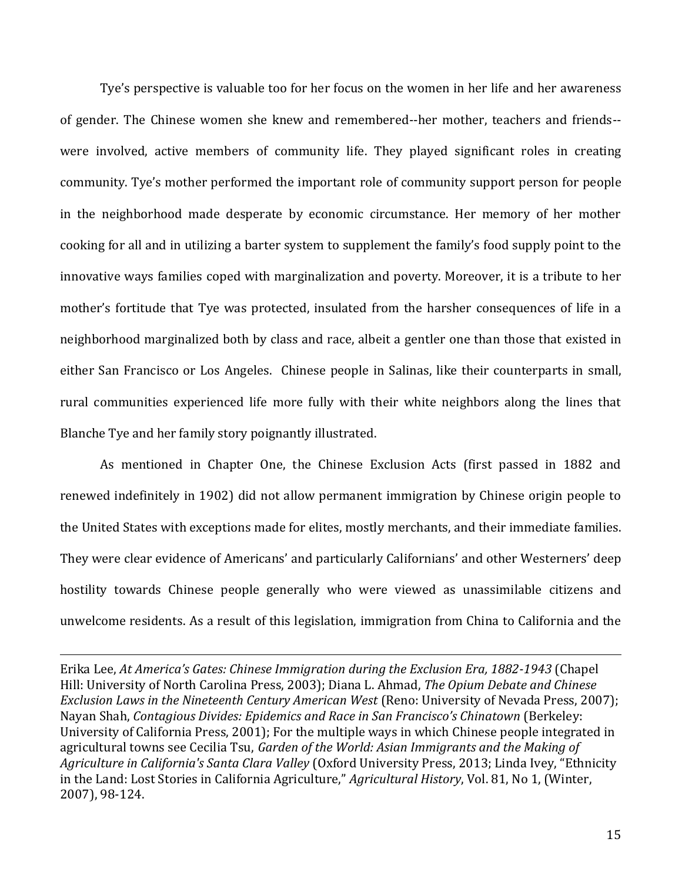Tye's perspective is valuable too for her focus on the women in her life and her awareness of gender. The Chinese women she knew and remembered--her mother, teachers and friends- were involved, active members of community life. They played significant roles in creating community. Tye's mother performed the important role of community support person for people in the neighborhood made desperate by economic circumstance. Her memory of her mother cooking for all and in utilizing a barter system to supplement the family's food supply point to the innovative ways families coped with marginalization and poverty. Moreover, it is a tribute to her mother's fortitude that Tye was protected, insulated from the harsher consequences of life in a neighborhood marginalized both by class and race, albeit a gentler one than those that existed in either San Francisco or Los Angeles. Chinese people in Salinas, like their counterparts in small, rural communities experienced life more fully with their white neighbors along the lines that Blanche Tye and her family story poignantly illustrated.

As mentioned in Chapter One, the Chinese Exclusion Acts (first passed in 1882 and renewed indefinitely in 1902) did not allow permanent immigration by Chinese origin people to the United States with exceptions made for elites, mostly merchants, and their immediate families. They were clear evidence of Americans' and particularly Californians' and other Westerners' deep hostility towards Chinese people generally who were viewed as unassimilable citizens and unwelcome residents. As a result of this legislation, immigration from China to California and the

Erika Lee, *At America's Gates: Chinese Immigration during the Exclusion Era, 1882-1943* (Chapel Hill: University of North Carolina Press, 2003); Diana L. Ahmad, *The Opium Debate and Chinese Exclusion Laws in the Nineteenth Century American West* (Reno: University of Nevada Press, 2007); Nayan Shah, *Contagious Divides: Epidemics and Race in San Francisco's Chinatown* (Berkeley: University of California Press, 2001); For the multiple ways in which Chinese people integrated in agricultural towns see Cecilia Tsu, *Garden of the World: Asian Immigrants and the Making of Agriculture in California's Santa Clara Valley* (Oxford University Press, 2013; Linda Ivey, "Ethnicity in the Land: Lost Stories in California Agriculture," *Agricultural History*, Vol. 81, No 1, (Winter, 2007), 98-124.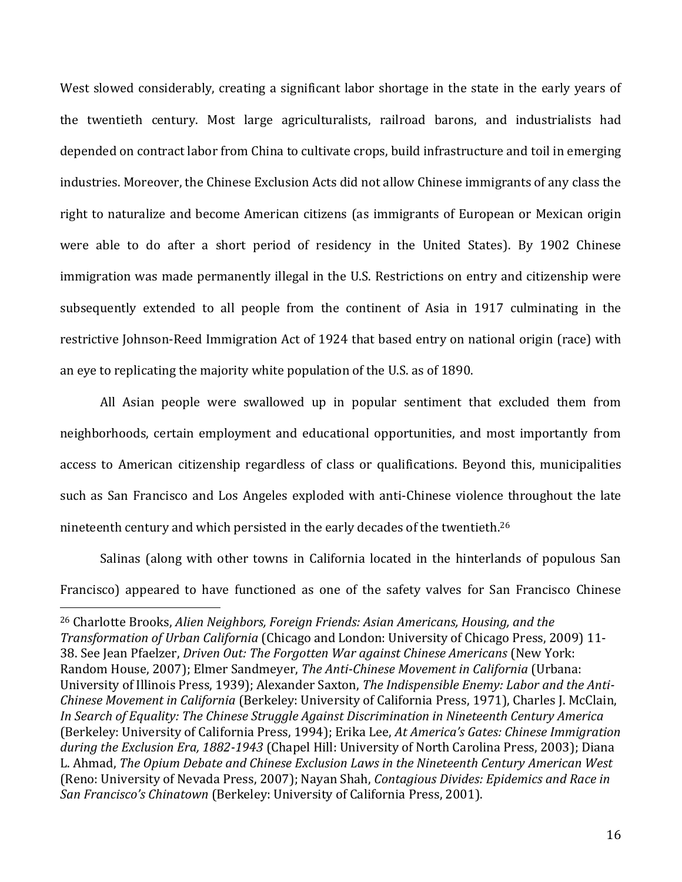West slowed considerably, creating a significant labor shortage in the state in the early years of the twentieth century. Most large agriculturalists, railroad barons, and industrialists had depended on contract labor from China to cultivate crops, build infrastructure and toil in emerging industries. Moreover, the Chinese Exclusion Acts did not allow Chinese immigrants of any class the right to naturalize and become American citizens (as immigrants of European or Mexican origin were able to do after a short period of residency in the United States). By 1902 Chinese immigration was made permanently illegal in the U.S. Restrictions on entry and citizenship were subsequently extended to all people from the continent of Asia in 1917 culminating in the restrictive Johnson-Reed Immigration Act of 1924 that based entry on national origin (race) with an eye to replicating the majority white population of the U.S. as of 1890.

All Asian people were swallowed up in popular sentiment that excluded them from neighborhoods, certain employment and educational opportunities, and most importantly from access to American citizenship regardless of class or qualifications. Beyond this, municipalities such as San Francisco and Los Angeles exploded with anti-Chinese violence throughout the late nineteenth century and which persisted in the early decades of the twentieth.<sup>26</sup>

Salinas (along with other towns in California located in the hinterlands of populous San Francisco) appeared to have functioned as one of the safety valves for San Francisco Chinese

<sup>26</sup> Charlotte Brooks, *Alien Neighbors, Foreign Friends: Asian Americans, Housing, and the Transformation of Urban California* (Chicago and London: University of Chicago Press, 2009) 11- 38. See Jean Pfaelzer, *Driven Out: The Forgotten War against Chinese Americans* (New York: Random House, 2007); Elmer Sandmeyer, *The Anti-Chinese Movement in California* (Urbana: University of Illinois Press, 1939); Alexander Saxton, *The Indispensible Enemy: Labor and the Anti-Chinese Movement in California* (Berkeley: University of California Press, 1971), Charles J. McClain, *In Search of Equality: The Chinese Struggle Against Discrimination in Nineteenth Century America* (Berkeley: University of California Press, 1994); Erika Lee, *At America's Gates: Chinese Immigration during the Exclusion Era, 1882-1943* (Chapel Hill: University of North Carolina Press, 2003); Diana L. Ahmad, *The Opium Debate and Chinese Exclusion Laws in the Nineteenth Century American West*  (Reno: University of Nevada Press, 2007); Nayan Shah, *Contagious Divides: Epidemics and Race in San Francisco's Chinatown* (Berkeley: University of California Press, 2001).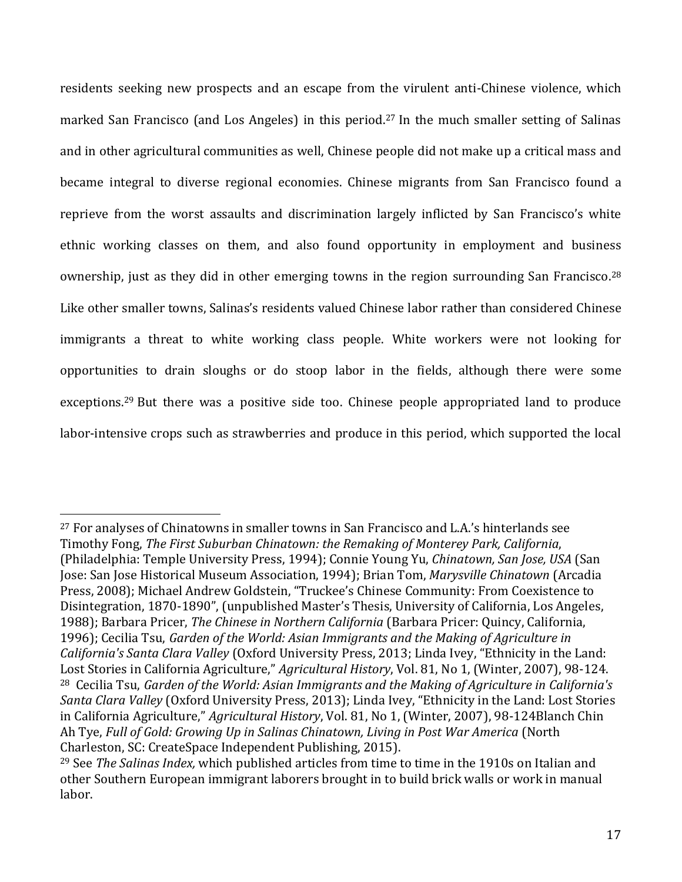residents seeking new prospects and an escape from the virulent anti-Chinese violence, which marked San Francisco (and Los Angeles) in this period. <sup>27</sup> In the much smaller setting of Salinas and in other agricultural communities as well, Chinese people did not make up a critical mass and became integral to diverse regional economies. Chinese migrants from San Francisco found a reprieve from the worst assaults and discrimination largely inflicted by San Francisco's white ethnic working classes on them, and also found opportunity in employment and business ownership, just as they did in other emerging towns in the region surrounding San Francisco.<sup>28</sup> Like other smaller towns, Salinas's residents valued Chinese labor rather than considered Chinese immigrants a threat to white working class people. White workers were not looking for opportunities to drain sloughs or do stoop labor in the fields, although there were some exceptions.<sup>29</sup> But there was a positive side too. Chinese people appropriated land to produce labor-intensive crops such as strawberries and produce in this period, which supported the local

<sup>27</sup> For analyses of Chinatowns in smaller towns in San Francisco and L.A.'s hinterlands see Timothy Fong, *The First Suburban Chinatown: the Remaking of Monterey Park, California*, (Philadelphia: Temple University Press, 1994); Connie Young Yu, *Chinatown, San Jose, USA* (San Jose: San Jose Historical Museum Association, 1994); Brian Tom, *Marysville Chinatown* (Arcadia Press, 2008); Michael Andrew Goldstein, "Truckee's Chinese Community: From Coexistence to Disintegration, 1870-1890", (unpublished Master's Thesis, University of California, Los Angeles, 1988); Barbara Pricer, *The Chinese in Northern California* (Barbara Pricer: Quincy, California, 1996); Cecilia Tsu, *Garden of the World: Asian Immigrants and the Making of Agriculture in California's Santa Clara Valley* (Oxford University Press, 2013; Linda Ivey, "Ethnicity in the Land: Lost Stories in California Agriculture," *Agricultural History*, Vol. 81, No 1, (Winter, 2007), 98-124. <sup>28</sup> Cecilia Tsu, *Garden of the World: Asian Immigrants and the Making of Agriculture in California's Santa Clara Valley* (Oxford University Press, 2013); Linda Ivey, "Ethnicity in the Land: Lost Stories in California Agriculture," *Agricultural History*, Vol. 81, No 1, (Winter, 2007), 98-124Blanch Chin Ah Tye, *Full of Gold: Growing Up in Salinas Chinatown, Living in Post War America* (North Charleston, SC: CreateSpace Independent Publishing, 2015).

<sup>29</sup> See *The Salinas Index,* which published articles from time to time in the 1910s on Italian and other Southern European immigrant laborers brought in to build brick walls or work in manual labor.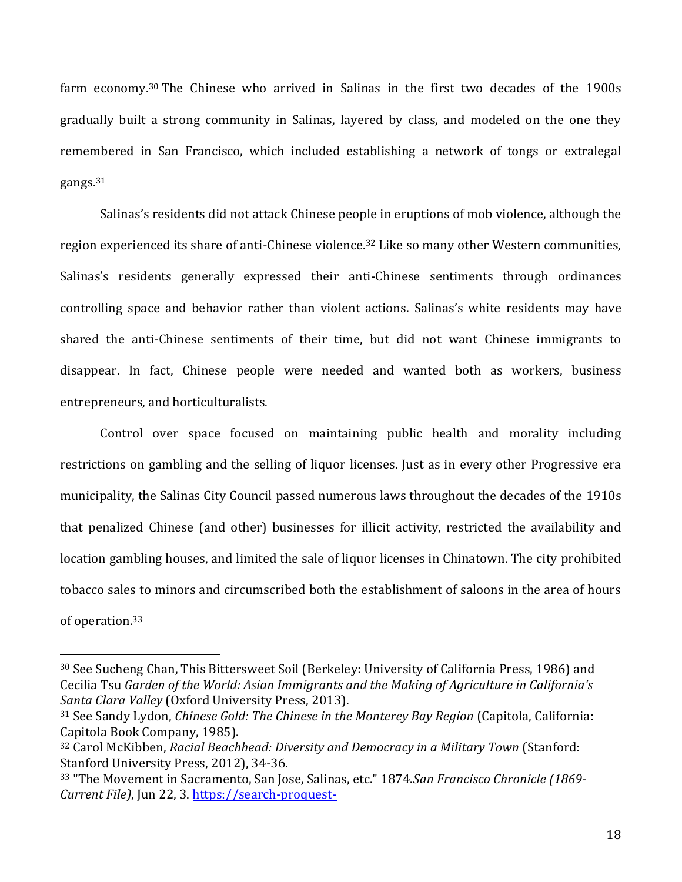farm economy.<sup>30</sup> The Chinese who arrived in Salinas in the first two decades of the 1900s gradually built a strong community in Salinas, layered by class, and modeled on the one they remembered in San Francisco, which included establishing a network of tongs or extralegal gangs.<sup>31</sup>

Salinas's residents did not attack Chinese people in eruptions of mob violence, although the region experienced its share of anti-Chinese violence.<sup>32</sup> Like so many other Western communities, Salinas's residents generally expressed their anti-Chinese sentiments through ordinances controlling space and behavior rather than violent actions. Salinas's white residents may have shared the anti-Chinese sentiments of their time, but did not want Chinese immigrants to disappear. In fact, Chinese people were needed and wanted both as workers, business entrepreneurs, and horticulturalists.

Control over space focused on maintaining public health and morality including restrictions on gambling and the selling of liquor licenses. Just as in every other Progressive era municipality, the Salinas City Council passed numerous laws throughout the decades of the 1910s that penalized Chinese (and other) businesses for illicit activity, restricted the availability and location gambling houses, and limited the sale of liquor licenses in Chinatown. The city prohibited tobacco sales to minors and circumscribed both the establishment of saloons in the area of hours of operation.<sup>33</sup>

<sup>30</sup> See Sucheng Chan, This Bittersweet Soil (Berkeley: University of California Press, 1986) and Cecilia Tsu *Garden of the World: Asian Immigrants and the Making of Agriculture in California's Santa Clara Valley* (Oxford University Press, 2013).

<sup>31</sup> See Sandy Lydon, *Chinese Gold: The Chinese in the Monterey Bay Region* (Capitola, California: Capitola Book Company, 1985).

<sup>32</sup> Carol McKibben, *Racial Beachhead: Diversity and Democracy in a Military Town* (Stanford: Stanford University Press, 2012), 34-36.

<sup>33</sup> "The Movement in Sacramento, San Jose, Salinas, etc." 1874.*San Francisco Chronicle (1869- Current File)*, Jun 22, 3. [https://search-proquest-](https://search-proquest-com.stanford.idm.oclc.org/docview/357207280?accountid=14026)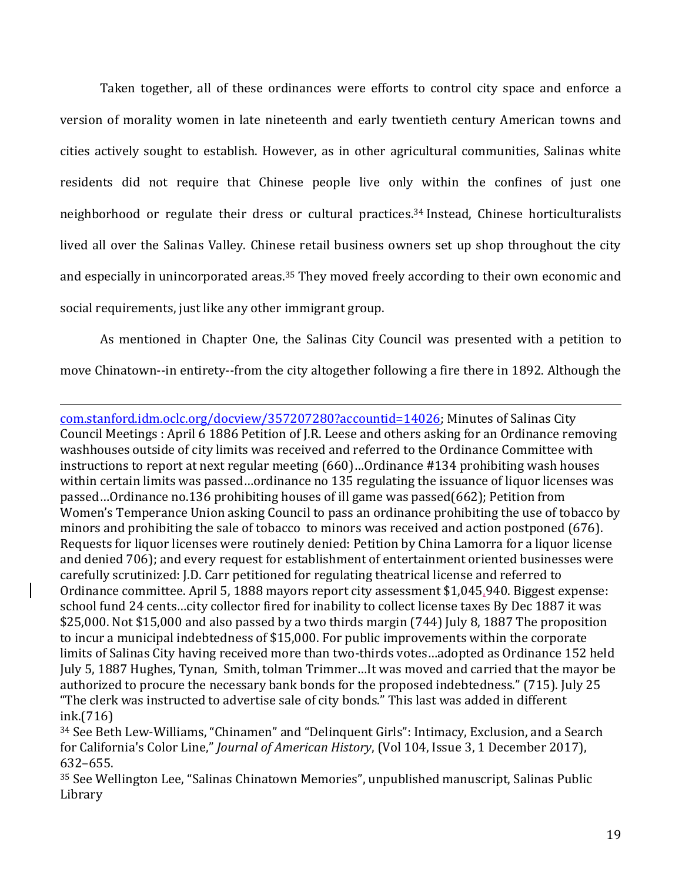Taken together, all of these ordinances were efforts to control city space and enforce a version of morality women in late nineteenth and early twentieth century American towns and cities actively sought to establish. However, as in other agricultural communities, Salinas white residents did not require that Chinese people live only within the confines of just one neighborhood or regulate their dress or cultural practices. <sup>34</sup> Instead, Chinese horticulturalists lived all over the Salinas Valley. Chinese retail business owners set up shop throughout the city and especially in unincorporated areas.<sup>35</sup> They moved freely according to their own economic and social requirements, just like any other immigrant group.

As mentioned in Chapter One, the Salinas City Council was presented with a petition to move Chinatown--in entirety--from the city altogether following a fire there in 1892. Although the

 $\overline{a}$ [com.stanford.idm.oclc.org/docview/357207280?accountid=14026;](https://search-proquest-com.stanford.idm.oclc.org/docview/357207280?accountid=14026) Minutes of Salinas City Council Meetings : April 6 1886 Petition of J.R. Leese and others asking for an Ordinance removing washhouses outside of city limits was received and referred to the Ordinance Committee with instructions to report at next regular meeting (660)…Ordinance #134 prohibiting wash houses within certain limits was passed…ordinance no 135 regulating the issuance of liquor licenses was passed…Ordinance no.136 prohibiting houses of ill game was passed(662); Petition from Women's Temperance Union asking Council to pass an ordinance prohibiting the use of tobacco by minors and prohibiting the sale of tobacco to minors was received and action postponed (676). Requests for liquor licenses were routinely denied: Petition by China Lamorra for a liquor license and denied 706); and every request for establishment of entertainment oriented businesses were carefully scrutinized: J.D. Carr petitioned for regulating theatrical license and referred to Ordinance committee. April 5, 1888 mayors report city assessment \$1,045,940. Biggest expense: school fund 24 cents…city collector fired for inability to collect license taxes By Dec 1887 it was \$25,000. Not \$15,000 and also passed by a two thirds margin (744) July 8, 1887 The proposition to incur a municipal indebtedness of \$15,000. For public improvements within the corporate limits of Salinas City having received more than two-thirds votes…adopted as Ordinance 152 held July 5, 1887 Hughes, Tynan, Smith, tolman Trimmer…It was moved and carried that the mayor be authorized to procure the necessary bank bonds for the proposed indebtedness." (715). July 25 "The clerk was instructed to advertise sale of city bonds." This last was added in different ink.(716)

<sup>34</sup> See Beth Lew-Williams, "Chinamen" and "Delinquent Girls": Intimacy, Exclusion, and a Search for California's Color Line," *Journal of American History*, (Vol 104, Issue 3, 1 December 2017), 632–655.

<sup>35</sup> See Wellington Lee, "Salinas Chinatown Memories", unpublished manuscript, Salinas Public Library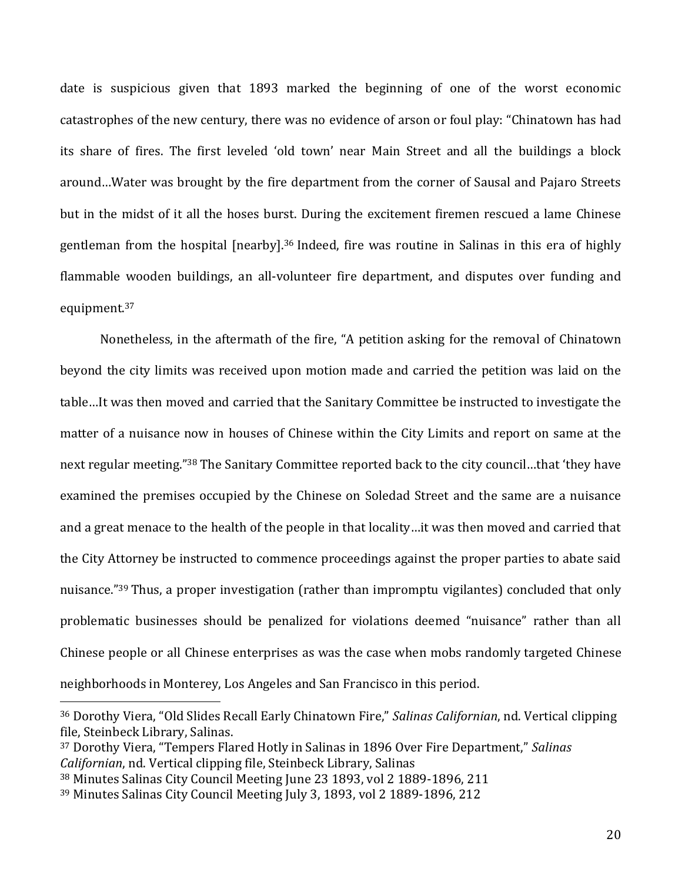date is suspicious given that 1893 marked the beginning of one of the worst economic catastrophes of the new century, there was no evidence of arson or foul play: "Chinatown has had its share of fires. The first leveled 'old town' near Main Street and all the buildings a block around…Water was brought by the fire department from the corner of Sausal and Pajaro Streets but in the midst of it all the hoses burst. During the excitement firemen rescued a lame Chinese gentleman from the hospital [nearby].<sup>36</sup> Indeed, fire was routine in Salinas in this era of highly flammable wooden buildings, an all-volunteer fire department, and disputes over funding and equipment.<sup>37</sup>

Nonetheless, in the aftermath of the fire, "A petition asking for the removal of Chinatown beyond the city limits was received upon motion made and carried the petition was laid on the table…It was then moved and carried that the Sanitary Committee be instructed to investigate the matter of a nuisance now in houses of Chinese within the City Limits and report on same at the next regular meeting."<sup>38</sup> The Sanitary Committee reported back to the city council…that 'they have examined the premises occupied by the Chinese on Soledad Street and the same are a nuisance and a great menace to the health of the people in that locality…it was then moved and carried that the City Attorney be instructed to commence proceedings against the proper parties to abate said nuisance."<sup>39</sup> Thus, a proper investigation (rather than impromptu vigilantes) concluded that only problematic businesses should be penalized for violations deemed "nuisance" rather than all Chinese people or all Chinese enterprises as was the case when mobs randomly targeted Chinese neighborhoods in Monterey, Los Angeles and San Francisco in this period.

<sup>37</sup> Dorothy Viera, "Tempers Flared Hotly in Salinas in 1896 Over Fire Department," *Salinas Californian*, nd. Vertical clipping file, Steinbeck Library, Salinas

<sup>36</sup> Dorothy Viera, "Old Slides Recall Early Chinatown Fire," *Salinas Californian*, nd. Vertical clipping file, Steinbeck Library, Salinas.

<sup>38</sup> Minutes Salinas City Council Meeting June 23 1893, vol 2 1889-1896, 211

<sup>39</sup> Minutes Salinas City Council Meeting July 3, 1893, vol 2 1889-1896, 212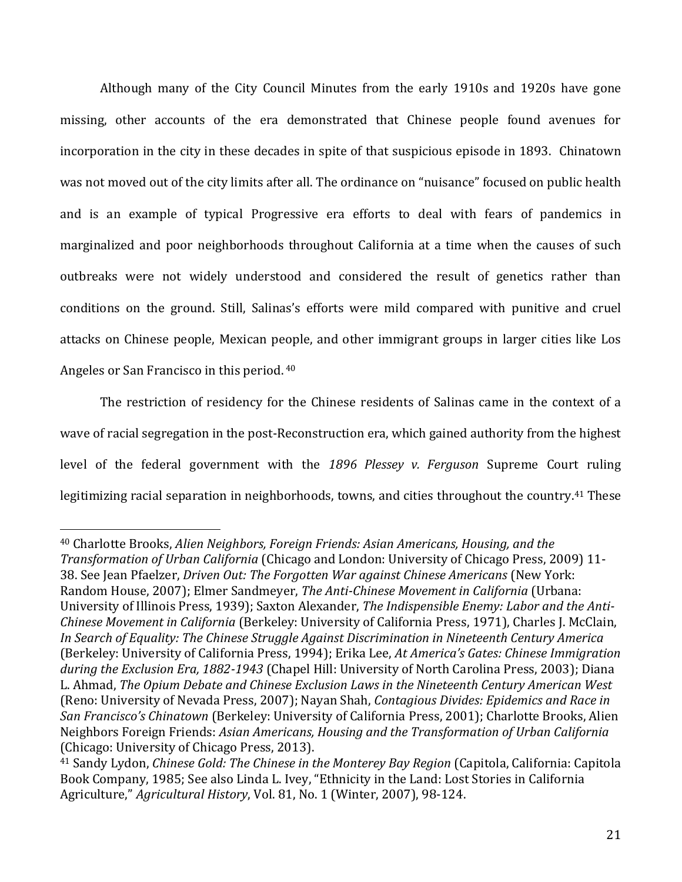Although many of the City Council Minutes from the early 1910s and 1920s have gone missing, other accounts of the era demonstrated that Chinese people found avenues for incorporation in the city in these decades in spite of that suspicious episode in 1893. Chinatown was not moved out of the city limits after all. The ordinance on "nuisance" focused on public health and is an example of typical Progressive era efforts to deal with fears of pandemics in marginalized and poor neighborhoods throughout California at a time when the causes of such outbreaks were not widely understood and considered the result of genetics rather than conditions on the ground. Still, Salinas's efforts were mild compared with punitive and cruel attacks on Chinese people, Mexican people, and other immigrant groups in larger cities like Los Angeles or San Francisco in this period. <sup>40</sup>

The restriction of residency for the Chinese residents of Salinas came in the context of a wave of racial segregation in the post-Reconstruction era, which gained authority from the highest level of the federal government with the *1896 Plessey v. Ferguson* Supreme Court ruling legitimizing racial separation in neighborhoods, towns, and cities throughout the country.<sup>41</sup> These

<sup>40</sup> Charlotte Brooks, *Alien Neighbors, Foreign Friends: Asian Americans, Housing, and the Transformation of Urban California* (Chicago and London: University of Chicago Press, 2009) 11- 38. See Jean Pfaelzer, *Driven Out: The Forgotten War against Chinese Americans* (New York: Random House, 2007); Elmer Sandmeyer, *The Anti-Chinese Movement in California* (Urbana: University of Illinois Press, 1939); Saxton Alexander, *The Indispensible Enemy: Labor and the Anti-Chinese Movement in California* (Berkeley: University of California Press, 1971), Charles J. McClain, *In Search of Equality: The Chinese Struggle Against Discrimination in Nineteenth Century America* (Berkeley: University of California Press, 1994); Erika Lee, *At America's Gates: Chinese Immigration during the Exclusion Era, 1882-1943* (Chapel Hill: University of North Carolina Press, 2003); Diana L. Ahmad, *The Opium Debate and Chinese Exclusion Laws in the Nineteenth Century American West*  (Reno: University of Nevada Press, 2007); Nayan Shah, *Contagious Divides: Epidemics and Race in San Francisco's Chinatown* (Berkeley: University of California Press, 2001); Charlotte Brooks, Alien Neighbors Foreign Friends: *Asian Americans, Housing and the Transformation of Urban California* (Chicago: University of Chicago Press, 2013).

<sup>41</sup> Sandy Lydon, *Chinese Gold: The Chinese in the Monterey Bay Region* (Capitola, California: Capitola Book Company, 1985; See also Linda L. Ivey, "Ethnicity in the Land: Lost Stories in California Agriculture," *Agricultural History*, Vol. 81, No. 1 (Winter, 2007), 98-124.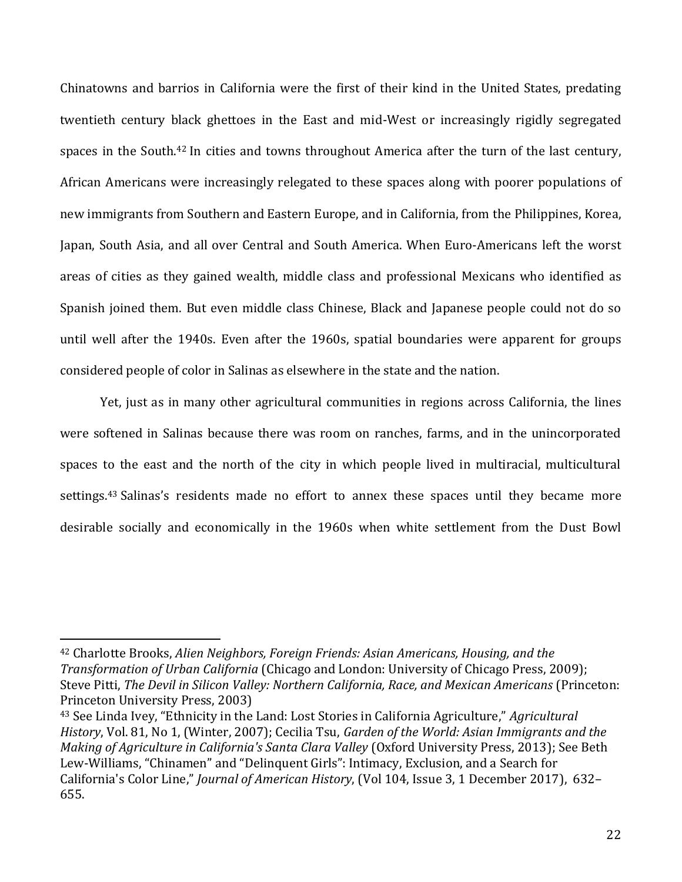Chinatowns and barrios in California were the first of their kind in the United States, predating twentieth century black ghettoes in the East and mid-West or increasingly rigidly segregated spaces in the South.<sup>42</sup> In cities and towns throughout America after the turn of the last century, African Americans were increasingly relegated to these spaces along with poorer populations of new immigrants from Southern and Eastern Europe, and in California, from the Philippines, Korea, Japan, South Asia, and all over Central and South America. When Euro-Americans left the worst areas of cities as they gained wealth, middle class and professional Mexicans who identified as Spanish joined them. But even middle class Chinese, Black and Japanese people could not do so until well after the 1940s. Even after the 1960s, spatial boundaries were apparent for groups considered people of color in Salinas as elsewhere in the state and the nation.

Yet, just as in many other agricultural communities in regions across California, the lines were softened in Salinas because there was room on ranches, farms, and in the unincorporated spaces to the east and the north of the city in which people lived in multiracial, multicultural settings.<sup>43</sup> Salinas's residents made no effort to annex these spaces until they became more desirable socially and economically in the 1960s when white settlement from the Dust Bowl

<sup>42</sup> Charlotte Brooks, *Alien Neighbors, Foreign Friends: Asian Americans, Housing, and the Transformation of Urban California* (Chicago and London: University of Chicago Press, 2009); Steve Pitti, *The Devil in Silicon Valley: Northern California, Race, and Mexican Americans* (Princeton: Princeton University Press, 2003)

<sup>43</sup> See Linda Ivey, "Ethnicity in the Land: Lost Stories in California Agriculture," *Agricultural History*, Vol. 81, No 1, (Winter, 2007); Cecilia Tsu, *Garden of the World: Asian Immigrants and the Making of Agriculture in California's Santa Clara Valley* (Oxford University Press, 2013); See Beth Lew-Williams, "Chinamen" and "Delinquent Girls": Intimacy, Exclusion, and a Search for California's Color Line," *Journal of American History*, (Vol 104, Issue 3, 1 December 2017), 632– 655.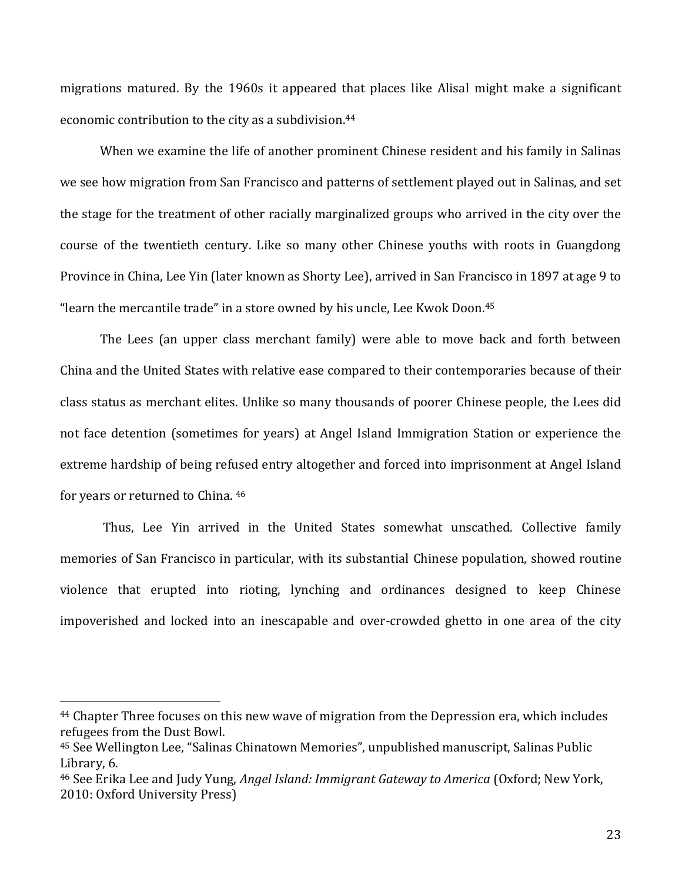migrations matured. By the 1960s it appeared that places like Alisal might make a significant economic contribution to the city as a subdivision. 44

When we examine the life of another prominent Chinese resident and his family in Salinas we see how migration from San Francisco and patterns of settlement played out in Salinas, and set the stage for the treatment of other racially marginalized groups who arrived in the city over the course of the twentieth century. Like so many other Chinese youths with roots in Guangdong Province in China, Lee Yin (later known as Shorty Lee), arrived in San Francisco in 1897 at age 9 to "learn the mercantile trade" in a store owned by his uncle. Lee Kwok Doon.<sup>45</sup>

The Lees (an upper class merchant family) were able to move back and forth between China and the United States with relative ease compared to their contemporaries because of their class status as merchant elites. Unlike so many thousands of poorer Chinese people, the Lees did not face detention (sometimes for years) at Angel Island Immigration Station or experience the extreme hardship of being refused entry altogether and forced into imprisonment at Angel Island for years or returned to China. 46

Thus, Lee Yin arrived in the United States somewhat unscathed. Collective family memories of San Francisco in particular, with its substantial Chinese population, showed routine violence that erupted into rioting, lynching and ordinances designed to keep Chinese impoverished and locked into an inescapable and over-crowded ghetto in one area of the city

<sup>44</sup> Chapter Three focuses on this new wave of migration from the Depression era, which includes refugees from the Dust Bowl.

<sup>45</sup> See Wellington Lee, "Salinas Chinatown Memories", unpublished manuscript, Salinas Public Library, 6.

<sup>46</sup> See Erika Lee and Judy Yung, *Angel Island: Immigrant Gateway to America* (Oxford; New York, 2010: Oxford University Press)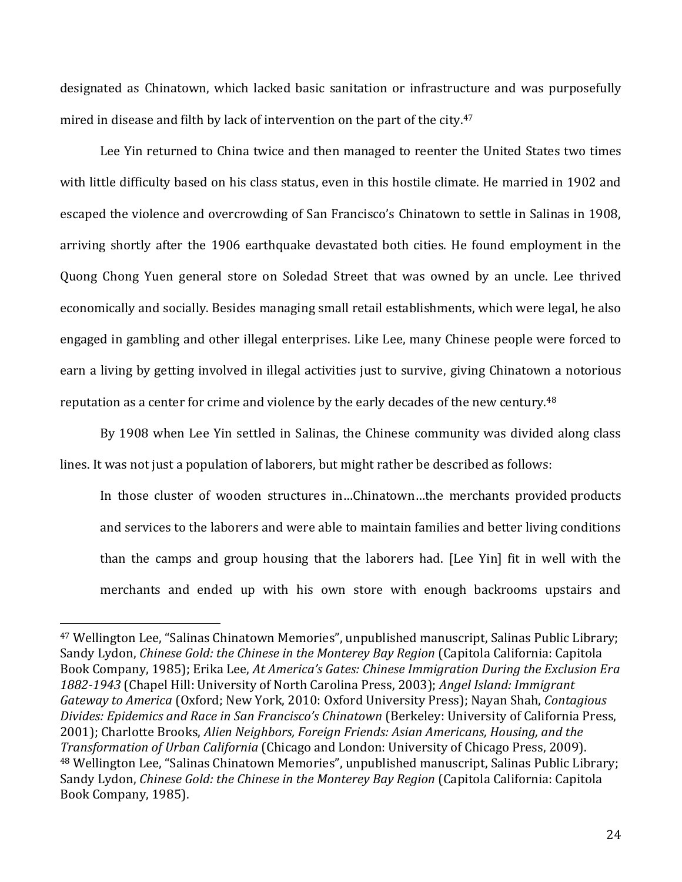designated as Chinatown, which lacked basic sanitation or infrastructure and was purposefully mired in disease and filth by lack of intervention on the part of the city. 47

Lee Yin returned to China twice and then managed to reenter the United States two times with little difficulty based on his class status, even in this hostile climate. He married in 1902 and escaped the violence and overcrowding of San Francisco's Chinatown to settle in Salinas in 1908, arriving shortly after the 1906 earthquake devastated both cities. He found employment in the Quong Chong Yuen general store on Soledad Street that was owned by an uncle. Lee thrived economically and socially. Besides managing small retail establishments, which were legal, he also engaged in gambling and other illegal enterprises. Like Lee, many Chinese people were forced to earn a living by getting involved in illegal activities just to survive, giving Chinatown a notorious reputation as a center for crime and violence by the early decades of the new century.<sup>48</sup>

By 1908 when Lee Yin settled in Salinas, the Chinese community was divided along class lines. It was not just a population of laborers, but might rather be described as follows:

In those cluster of wooden structures in…Chinatown…the merchants provided products and services to the laborers and were able to maintain families and better living conditions than the camps and group housing that the laborers had. [Lee Yin] fit in well with the merchants and ended up with his own store with enough backrooms upstairs and

<sup>47</sup> Wellington Lee, "Salinas Chinatown Memories", unpublished manuscript, Salinas Public Library; Sandy Lydon, *Chinese Gold: the Chinese in the Monterey Bay Region* (Capitola California: Capitola Book Company, 1985); Erika Lee, *At America's Gates: Chinese Immigration During the Exclusion Era 1882-1943* (Chapel Hill: University of North Carolina Press, 2003); *Angel Island: Immigrant Gateway to America* (Oxford; New York, 2010: Oxford University Press); Nayan Shah, *Contagious Divides: Epidemics and Race in San Francisco's Chinatown* (Berkeley: University of California Press, 2001); Charlotte Brooks, *Alien Neighbors, Foreign Friends: Asian Americans, Housing, and the Transformation of Urban California* (Chicago and London: University of Chicago Press, 2009). <sup>48</sup> Wellington Lee, "Salinas Chinatown Memories", unpublished manuscript, Salinas Public Library; Sandy Lydon, *Chinese Gold: the Chinese in the Monterey Bay Region* (Capitola California: Capitola Book Company, 1985).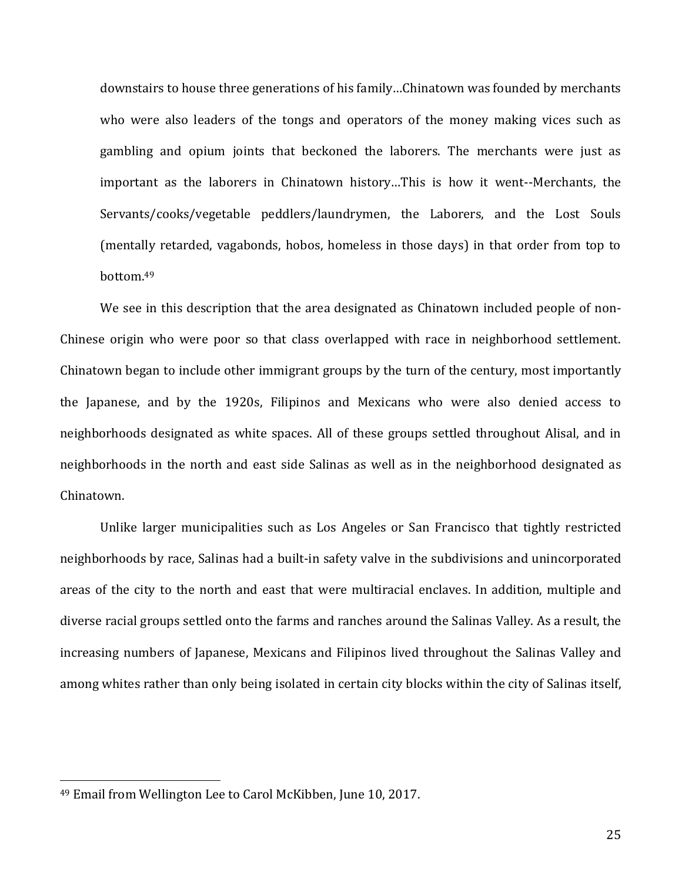downstairs to house three generations of his family…Chinatown was founded by merchants who were also leaders of the tongs and operators of the money making vices such as gambling and opium joints that beckoned the laborers. The merchants were just as important as the laborers in Chinatown history…This is how it went--Merchants, the Servants/cooks/vegetable peddlers/laundrymen, the Laborers, and the Lost Souls (mentally retarded, vagabonds, hobos, homeless in those days) in that order from top to bottom.<sup>49</sup>

We see in this description that the area designated as Chinatown included people of non-Chinese origin who were poor so that class overlapped with race in neighborhood settlement. Chinatown began to include other immigrant groups by the turn of the century, most importantly the Japanese, and by the 1920s, Filipinos and Mexicans who were also denied access to neighborhoods designated as white spaces. All of these groups settled throughout Alisal, and in neighborhoods in the north and east side Salinas as well as in the neighborhood designated as Chinatown.

Unlike larger municipalities such as Los Angeles or San Francisco that tightly restricted neighborhoods by race, Salinas had a built-in safety valve in the subdivisions and unincorporated areas of the city to the north and east that were multiracial enclaves. In addition, multiple and diverse racial groups settled onto the farms and ranches around the Salinas Valley. As a result, the increasing numbers of Japanese, Mexicans and Filipinos lived throughout the Salinas Valley and among whites rather than only being isolated in certain city blocks within the city of Salinas itself,

<sup>49</sup> Email from Wellington Lee to Carol McKibben, June 10, 2017.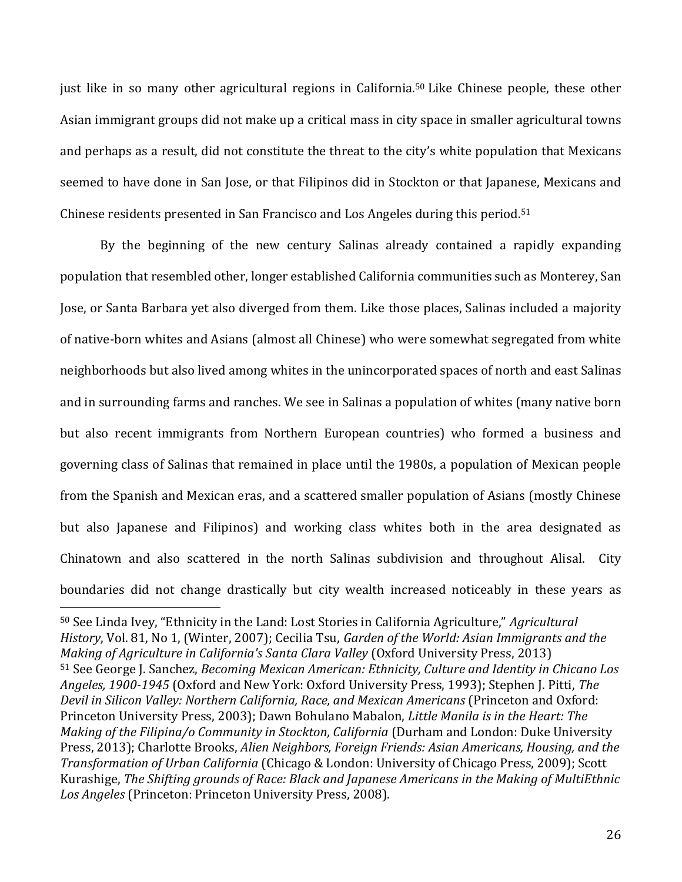just like in so many other agricultural regions in California. <sup>50</sup> Like Chinese people, these other Asian immigrant groups did not make up a critical mass in city space in smaller agricultural towns and perhaps as a result, did not constitute the threat to the city's white population that Mexicans seemed to have done in San Jose, or that Filipinos did in Stockton or that Japanese, Mexicans and Chinese residents presented in San Francisco and Los Angeles during this period. 51

By the beginning of the new century Salinas already contained a rapidly expanding population that resembled other, longer established California communities such as Monterey, San Jose, or Santa Barbara yet also diverged from them. Like those places, Salinas included a majority of native-born whites and Asians (almost all Chinese) who were somewhat segregated from white neighborhoods but also lived among whites in the unincorporated spaces of north and east Salinas and in surrounding farms and ranches. We see in Salinas a population of whites (many native born but also recent immigrants from Northern European countries) who formed a business and governing class of Salinas that remained in place until the 1980s, a population of Mexican people from the Spanish and Mexican eras, and a scattered smaller population of Asians (mostly Chinese but also Japanese and Filipinos) and working class whites both in the area designated as Chinatown and also scattered in the north Salinas subdivision and throughout Alisal. City boundaries did not change drastically but city wealth increased noticeably in these years as

<sup>50</sup> See Linda Ivey, "Ethnicity in the Land: Lost Stories in California Agriculture," *Agricultural History*, Vol. 81, No 1, (Winter, 2007); Cecilia Tsu, *Garden of the World: Asian Immigrants and the Making of Agriculture in California's Santa Clara Valley* (Oxford University Press, 2013) <sup>51</sup> See George J. Sanchez, *Becoming Mexican American: Ethnicity, Culture and Identity in Chicano Los Angeles, 1900-1945* (Oxford and New York: Oxford University Press, 1993); Stephen J. Pitti, *The Devil in Silicon Valley: Northern California, Race, and Mexican Americans* (Princeton and Oxford: Princeton University Press, 2003); Dawn Bohulano Mabalon, *Little Manila is in the Heart: The Making of the Filipina/o Community in Stockton, California* (Durham and London: Duke University Press, 2013); Charlotte Brooks, *Alien Neighbors, Foreign Friends: Asian Americans, Housing, and the Transformation of Urban California* (Chicago & London: University of Chicago Press, 2009); Scott Kurashige, *The Shifting grounds of Race: Black and Japanese Americans in the Making of MultiEthnic Los Angeles* (Princeton: Princeton University Press, 2008).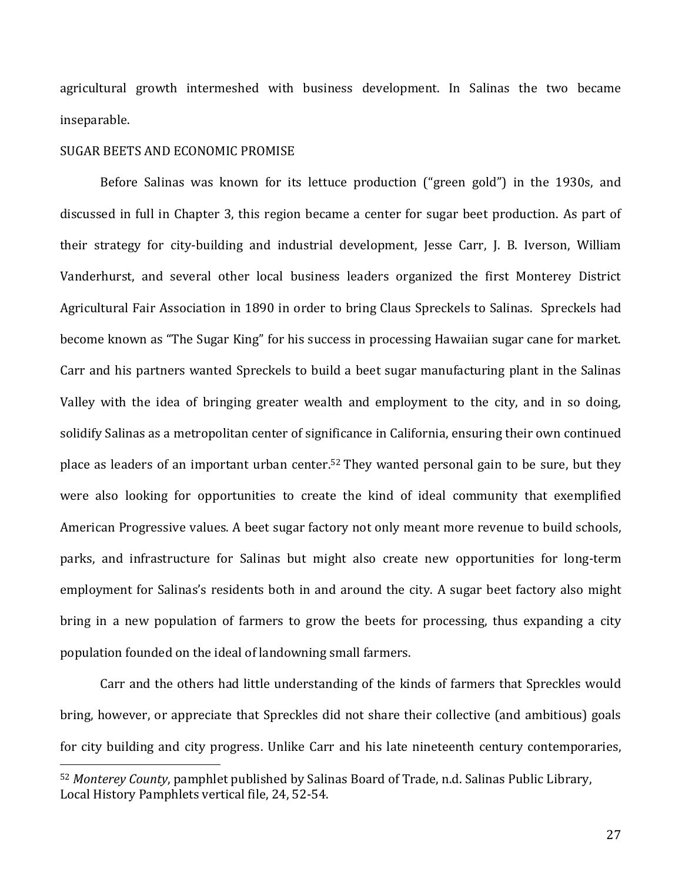agricultural growth intermeshed with business development. In Salinas the two became inseparable.

#### SUGAR BEETS AND ECONOMIC PROMISE

 $\overline{a}$ 

Before Salinas was known for its lettuce production ("green gold") in the 1930s, and discussed in full in Chapter 3, this region became a center for sugar beet production. As part of their strategy for city-building and industrial development, Jesse Carr, J. B. Iverson, William Vanderhurst, and several other local business leaders organized the first Monterey District Agricultural Fair Association in 1890 in order to bring Claus Spreckels to Salinas. Spreckels had become known as "The Sugar King" for his success in processing Hawaiian sugar cane for market. Carr and his partners wanted Spreckels to build a beet sugar manufacturing plant in the Salinas Valley with the idea of bringing greater wealth and employment to the city, and in so doing, solidify Salinas as a metropolitan center of significance in California, ensuring their own continued place as leaders of an important urban center.<sup>52</sup> They wanted personal gain to be sure, but they were also looking for opportunities to create the kind of ideal community that exemplified American Progressive values. A beet sugar factory not only meant more revenue to build schools, parks, and infrastructure for Salinas but might also create new opportunities for long-term employment for Salinas's residents both in and around the city. A sugar beet factory also might bring in a new population of farmers to grow the beets for processing, thus expanding a city population founded on the ideal of landowning small farmers.

Carr and the others had little understanding of the kinds of farmers that Spreckles would bring, however, or appreciate that Spreckles did not share their collective (and ambitious) goals for city building and city progress. Unlike Carr and his late nineteenth century contemporaries,

<sup>52</sup> *Monterey County*, pamphlet published by Salinas Board of Trade, n.d. Salinas Public Library, Local History Pamphlets vertical file, 24, 52-54.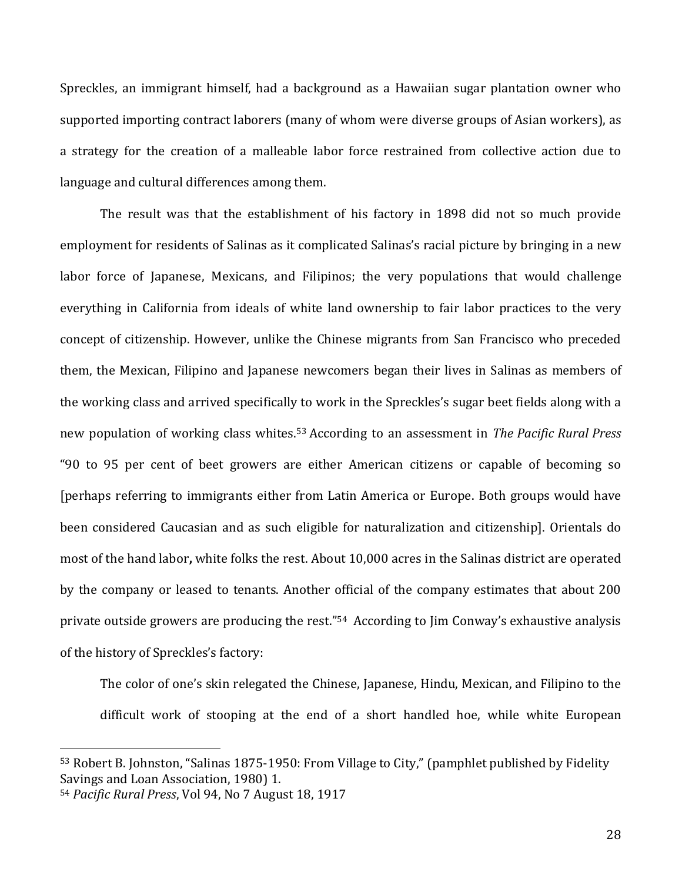Spreckles, an immigrant himself, had a background as a Hawaiian sugar plantation owner who supported importing contract laborers (many of whom were diverse groups of Asian workers), as a strategy for the creation of a malleable labor force restrained from collective action due to language and cultural differences among them.

The result was that the establishment of his factory in 1898 did not so much provide employment for residents of Salinas as it complicated Salinas's racial picture by bringing in a new labor force of Japanese, Mexicans, and Filipinos; the very populations that would challenge everything in California from ideals of white land ownership to fair labor practices to the very concept of citizenship. However, unlike the Chinese migrants from San Francisco who preceded them, the Mexican, Filipino and Japanese newcomers began their lives in Salinas as members of the working class and arrived specifically to work in the Spreckles's sugar beet fields along with a new population of working class whites.<sup>53</sup> According to an assessment in *The Pacific Rural Press* "90 to 95 per cent of beet growers are either American citizens or capable of becoming so [perhaps referring to immigrants either from Latin America or Europe. Both groups would have been considered Caucasian and as such eligible for naturalization and citizenship]. Orientals do most of the hand labor**,** white folks the rest. About 10,000 acres in the Salinas district are operated by the company or leased to tenants. Another official of the company estimates that about 200 private outside growers are producing the rest."<sup>54</sup> According to Jim Conway's exhaustive analysis of the history of Spreckles's factory:

The color of one's skin relegated the Chinese, Japanese, Hindu, Mexican, and Filipino to the difficult work of stooping at the end of a short handled hoe, while white European

<sup>53</sup> Robert B. Johnston, "Salinas 1875-1950: From Village to City," (pamphlet published by Fidelity Savings and Loan Association, 1980) 1.

<sup>54</sup> *Pacific Rural Press*, Vol 94, No 7 August 18, 1917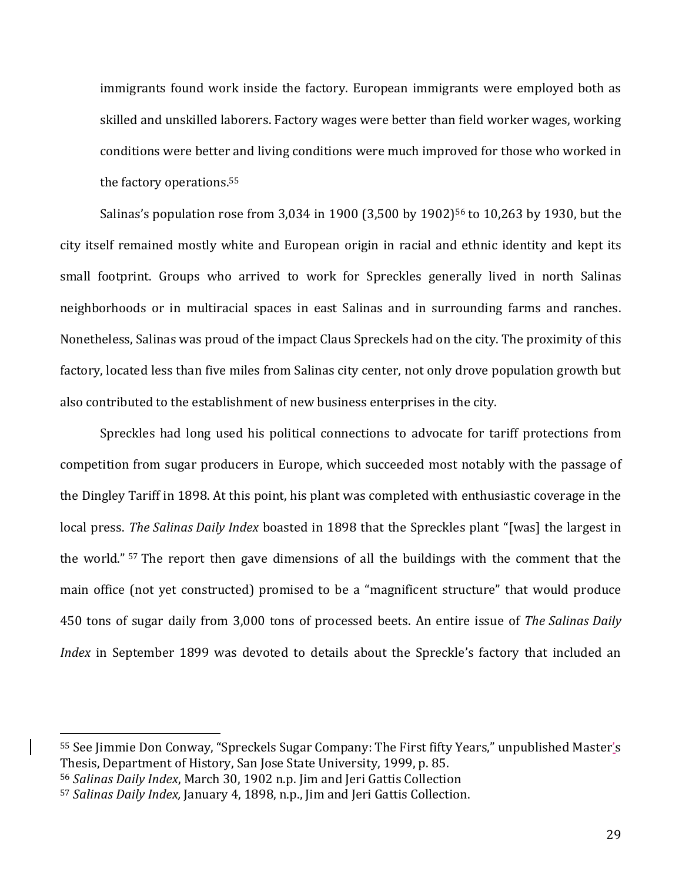immigrants found work inside the factory. European immigrants were employed both as skilled and unskilled laborers. Factory wages were better than field worker wages, working conditions were better and living conditions were much improved for those who worked in the factory operations.<sup>55</sup>

Salinas's population rose from 3,034 in 1900 (3,500 by 1902)<sup>56</sup> to 10,263 by 1930, but the city itself remained mostly white and European origin in racial and ethnic identity and kept its small footprint. Groups who arrived to work for Spreckles generally lived in north Salinas neighborhoods or in multiracial spaces in east Salinas and in surrounding farms and ranches. Nonetheless, Salinas was proud of the impact Claus Spreckels had on the city. The proximity of this factory, located less than five miles from Salinas city center, not only drove population growth but also contributed to the establishment of new business enterprises in the city.

Spreckles had long used his political connections to advocate for tariff protections from competition from sugar producers in Europe, which succeeded most notably with the passage of the Dingley Tariff in 1898. At this point, his plant was completed with enthusiastic coverage in the local press. *The Salinas Daily Index* boasted in 1898 that the Spreckles plant "[was] the largest in the world." <sup>57</sup> The report then gave dimensions of all the buildings with the comment that the main office (not yet constructed) promised to be a "magnificent structure" that would produce 450 tons of sugar daily from 3,000 tons of processed beets. An entire issue of *The Salinas Daily Index* in September 1899 was devoted to details about the Spreckle's factory that included an

<sup>55</sup> See Jimmie Don Conway, "Spreckels Sugar Company: The First fifty Years," unpublished Master's Thesis, Department of History, San Jose State University, 1999, p. 85.

<sup>56</sup> *Salinas Daily Index*, March 30, 1902 n.p. Jim and Jeri Gattis Collection

<sup>57</sup> *Salinas Daily Index,* January 4, 1898, n.p., Jim and Jeri Gattis Collection.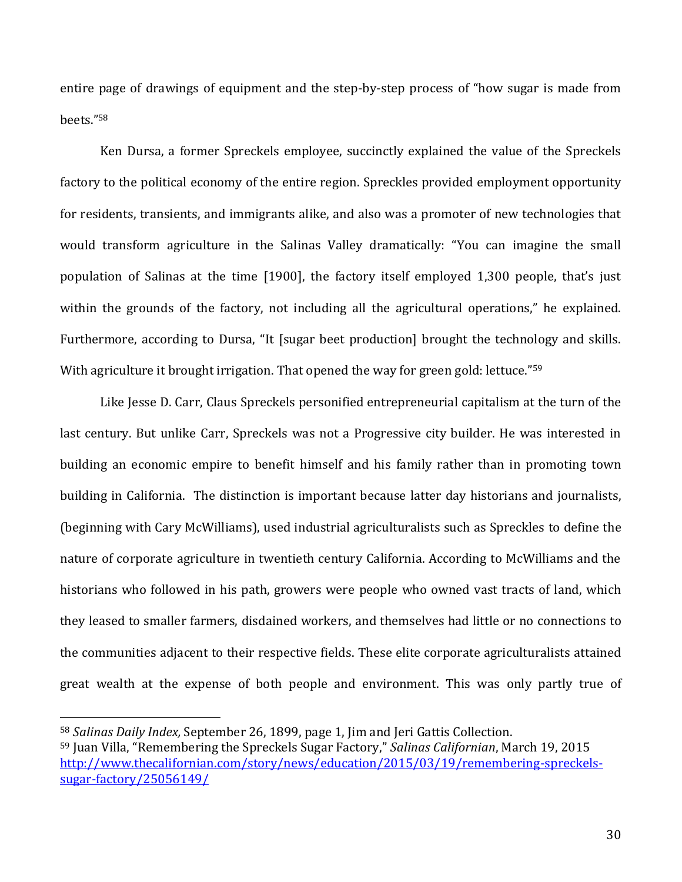entire page of drawings of equipment and the step-by-step process of "how sugar is made from beets."<sup>58</sup>

Ken Dursa, a former Spreckels employee, succinctly explained the value of the Spreckels factory to the political economy of the entire region. Spreckles provided employment opportunity for residents, transients, and immigrants alike, and also was a promoter of new technologies that would transform agriculture in the Salinas Valley dramatically: "You can imagine the small population of Salinas at the time [1900], the factory itself employed 1,300 people, that's just within the grounds of the factory, not including all the agricultural operations," he explained. Furthermore, according to Dursa, "It [sugar beet production] brought the technology and skills. With agriculture it brought irrigation. That opened the way for green gold: lettuce."<sup>59</sup>

Like Jesse D. Carr, Claus Spreckels personified entrepreneurial capitalism at the turn of the last century. But unlike Carr, Spreckels was not a Progressive city builder. He was interested in building an economic empire to benefit himself and his family rather than in promoting town building in California. The distinction is important because latter day historians and journalists, (beginning with Cary McWilliams), used industrial agriculturalists such as Spreckles to define the nature of corporate agriculture in twentieth century California. According to McWilliams and the historians who followed in his path, growers were people who owned vast tracts of land, which they leased to smaller farmers, disdained workers, and themselves had little or no connections to the communities adjacent to their respective fields. These elite corporate agriculturalists attained great wealth at the expense of both people and environment. This was only partly true of

<sup>58</sup> *Salinas Daily Index,* September 26, 1899, page 1, Jim and Jeri Gattis Collection.

<sup>59</sup> Juan Villa, "Remembering the Spreckels Sugar Factory," *Salinas Californian*, March 19, 2015 [http://www.thecalifornian.com/story/news/education/2015/03/19/remembering-spreckels](http://www.thecalifornian.com/story/news/education/2015/03/19/remembering-spreckels-sugar-factory/25056149/)[sugar-factory/25056149/](http://www.thecalifornian.com/story/news/education/2015/03/19/remembering-spreckels-sugar-factory/25056149/)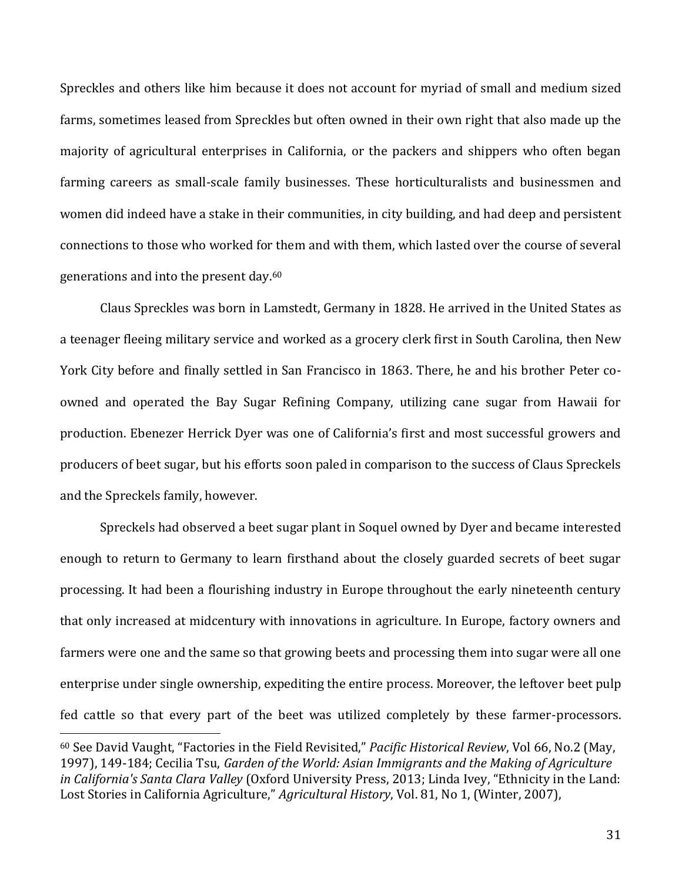Spreckles and others like him because it does not account for myriad of small and medium sized farms, sometimes leased from Spreckles but often owned in their own right that also made up the majority of agricultural enterprises in California, or the packers and shippers who often began farming careers as small-scale family businesses. These horticulturalists and businessmen and women did indeed have a stake in their communities, in city building, and had deep and persistent connections to those who worked for them and with them, which lasted over the course of several generations and into the present day.<sup>60</sup>

Claus Spreckles was born in Lamstedt, Germany in 1828. He arrived in the United States as a teenager fleeing military service and worked as a grocery clerk first in South Carolina, then New York City before and finally settled in San Francisco in 1863. There, he and his brother Peter coowned and operated the Bay Sugar Refining Company, utilizing cane sugar from Hawaii for production. Ebenezer Herrick Dyer was one of California's first and most successful growers and producers of beet sugar, but his efforts soon paled in comparison to the success of Claus Spreckels and the Spreckels family, however.

Spreckels had observed a beet sugar plant in Soquel owned by Dyer and became interested enough to return to Germany to learn firsthand about the closely guarded secrets of beet sugar processing. It had been a flourishing industry in Europe throughout the early nineteenth century that only increased at midcentury with innovations in agriculture. In Europe, factory owners and farmers were one and the same so that growing beets and processing them into sugar were all one enterprise under single ownership, expediting the entire process. Moreover, the leftover beet pulp fed cattle so that every part of the beet was utilized completely by these farmer-processors.

<sup>60</sup> See David Vaught, "Factories in the Field Revisited," *Pacific Historical Review*, Vol 66, No.2 (May, 1997), 149-184; Cecilia Tsu, *Garden of the World: Asian Immigrants and the Making of Agriculture in California's Santa Clara Valley* (Oxford University Press, 2013; Linda Ivey, "Ethnicity in the Land: Lost Stories in California Agriculture," *Agricultural History*, Vol. 81, No 1, (Winter, 2007),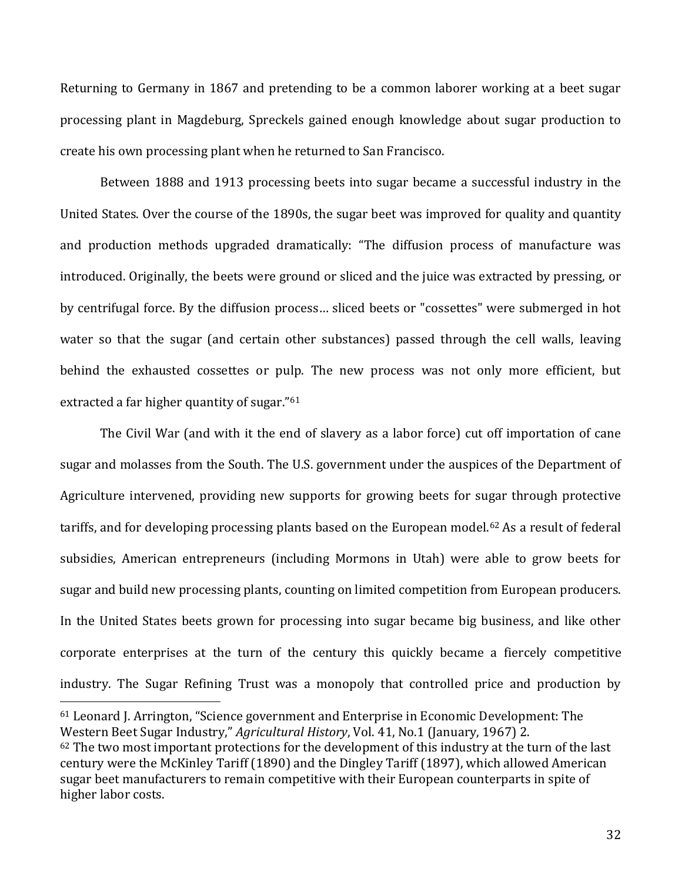Returning to Germany in 1867 and pretending to be a common laborer working at a beet sugar processing plant in Magdeburg, Spreckels gained enough knowledge about sugar production to create his own processing plant when he returned to San Francisco.

Between 1888 and 1913 processing beets into sugar became a successful industry in the United States. Over the course of the 1890s, the sugar beet was improved for quality and quantity and production methods upgraded dramatically: "The diffusion process of manufacture was introduced. Originally, the beets were ground or sliced and the juice was extracted by pressing, or by centrifugal force. By the diffusion process… sliced beets or "cossettes" were submerged in hot water so that the sugar (and certain other substances) passed through the cell walls, leaving behind the exhausted cossettes or pulp. The new process was not only more efficient, but extracted a far higher quantity of sugar."<sup>61</sup>

The Civil War (and with it the end of slavery as a labor force) cut off importation of cane sugar and molasses from the South. The U.S. government under the auspices of the Department of Agriculture intervened, providing new supports for growing beets for sugar through protective tariffs, and for developing processing plants based on the European model.<sup>62</sup> As a result of federal subsidies, American entrepreneurs (including Mormons in Utah) were able to grow beets for sugar and build new processing plants, counting on limited competition from European producers. In the United States beets grown for processing into sugar became big business, and like other corporate enterprises at the turn of the century this quickly became a fiercely competitive industry. The Sugar Refining Trust was a monopoly that controlled price and production by

<sup>61</sup> Leonard J. Arrington, "Science government and Enterprise in Economic Development: The Western Beet Sugar Industry," *Agricultural History*, Vol. 41, No.1 (January, 1967) 2. <sup>62</sup> The two most important protections for the development of this industry at the turn of the last century were the McKinley Tariff (1890) and the Dingley Tariff (1897), which allowed American sugar beet manufacturers to remain competitive with their European counterparts in spite of higher labor costs.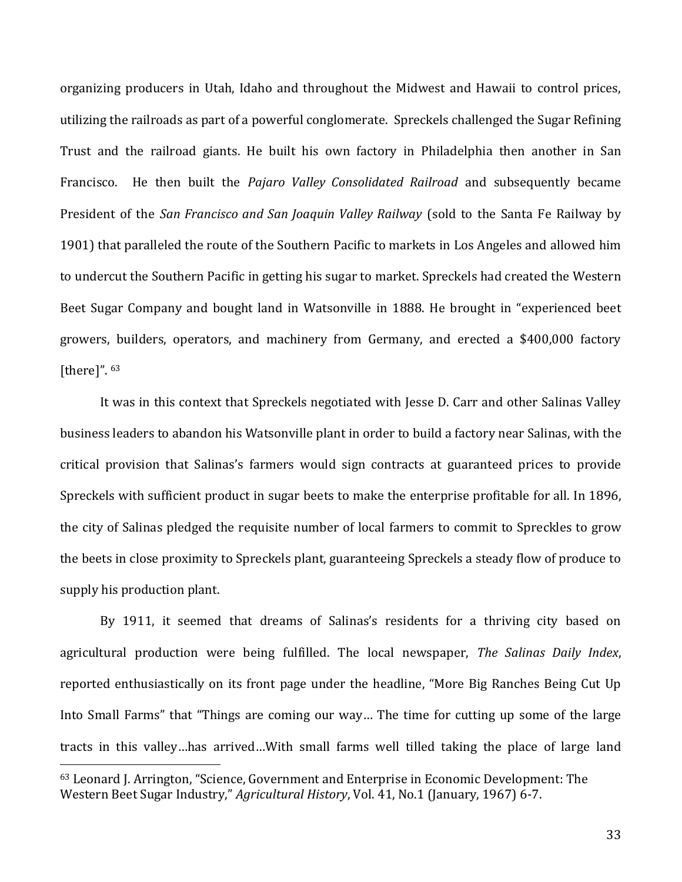organizing producers in Utah, Idaho and throughout the Midwest and Hawaii to control prices, utilizing the railroads as part of a powerful conglomerate. Spreckels challenged the Sugar Refining Trust and the railroad giants. He built his own factory in Philadelphia then another in San Francisco. He then built the *Pajaro Valley Consolidated Railroad* and subsequently became President of the *San Francisco and San Joaquin Valley Railway* (sold to the Santa Fe Railway by 1901) that paralleled the route of the Southern Pacific to markets in Los Angeles and allowed him to undercut the Southern Pacific in getting his sugar to market. Spreckels had created the Western Beet Sugar Company and bought land in Watsonville in 1888. He brought in "experienced beet growers, builders, operators, and machinery from Germany, and erected a \$400,000 factory [there]". 63

It was in this context that Spreckels negotiated with Jesse D. Carr and other Salinas Valley business leaders to abandon his Watsonville plant in order to build a factory near Salinas, with the critical provision that Salinas's farmers would sign contracts at guaranteed prices to provide Spreckels with sufficient product in sugar beets to make the enterprise profitable for all. In 1896, the city of Salinas pledged the requisite number of local farmers to commit to Spreckles to grow the beets in close proximity to Spreckels plant, guaranteeing Spreckels a steady flow of produce to supply his production plant.

By 1911, it seemed that dreams of Salinas's residents for a thriving city based on agricultural production were being fulfilled. The local newspaper, *The Salinas Daily Index*, reported enthusiastically on its front page under the headline, "More Big Ranches Being Cut Up Into Small Farms" that "Things are coming our way… The time for cutting up some of the large tracts in this valley…has arrived…With small farms well tilled taking the place of large land

<sup>63</sup> Leonard J. Arrington, "Science, Government and Enterprise in Economic Development: The Western Beet Sugar Industry," *Agricultural History*, Vol. 41, No.1 (January, 1967) 6-7.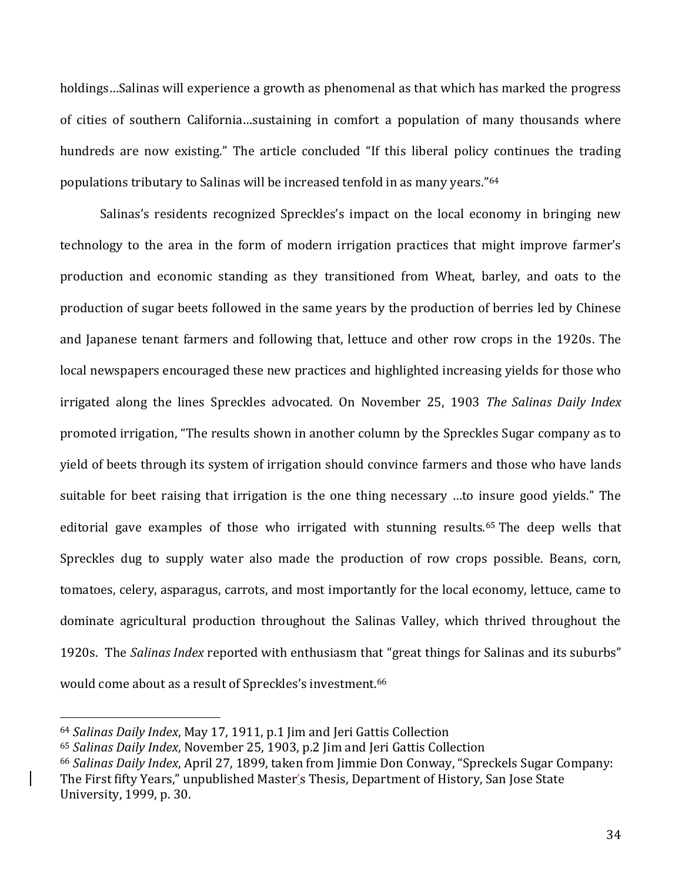holdings…Salinas will experience a growth as phenomenal as that which has marked the progress of cities of southern California…sustaining in comfort a population of many thousands where hundreds are now existing." The article concluded "If this liberal policy continues the trading populations tributary to Salinas will be increased tenfold in as many years."<sup>64</sup>

Salinas's residents recognized Spreckles's impact on the local economy in bringing new technology to the area in the form of modern irrigation practices that might improve farmer's production and economic standing as they transitioned from Wheat, barley, and oats to the production of sugar beets followed in the same years by the production of berries led by Chinese and Japanese tenant farmers and following that, lettuce and other row crops in the 1920s. The local newspapers encouraged these new practices and highlighted increasing yields for those who irrigated along the lines Spreckles advocated. On November 25, 1903 *The Salinas Daily Index* promoted irrigation, "The results shown in another column by the Spreckles Sugar company as to yield of beets through its system of irrigation should convince farmers and those who have lands suitable for beet raising that irrigation is the one thing necessary …to insure good yields." The editorial gave examples of those who irrigated with stunning results.<sup>65</sup> The deep wells that Spreckles dug to supply water also made the production of row crops possible. Beans, corn, tomatoes, celery, asparagus, carrots, and most importantly for the local economy, lettuce, came to dominate agricultural production throughout the Salinas Valley, which thrived throughout the 1920s. The *Salinas Index* reported with enthusiasm that "great things for Salinas and its suburbs" would come about as a result of Spreckles's investment.<sup>66</sup>

<sup>64</sup> *Salinas Daily Index*, May 17, 1911, p.1 Jim and Jeri Gattis Collection

<sup>65</sup> *Salinas Daily Index*, November 25, 1903, p.2 Jim and Jeri Gattis Collection

<sup>66</sup> *Salinas Daily Index*, April 27, 1899, taken from Jimmie Don Conway, "Spreckels Sugar Company: The First fifty Years," unpublished Master's Thesis, Department of History, San Jose State

University, 1999, p. 30.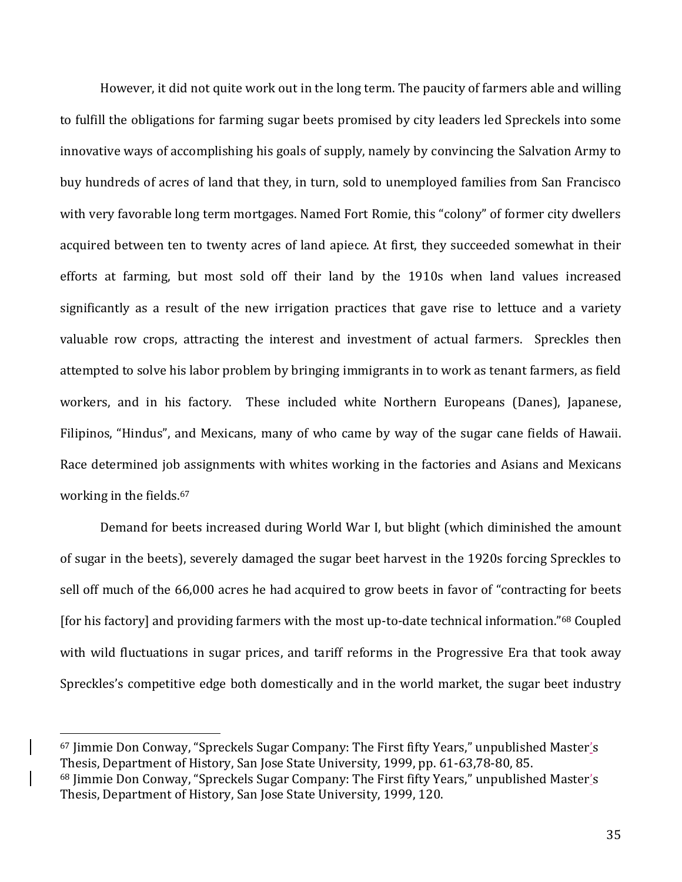However, it did not quite work out in the long term. The paucity of farmers able and willing to fulfill the obligations for farming sugar beets promised by city leaders led Spreckels into some innovative ways of accomplishing his goals of supply, namely by convincing the Salvation Army to buy hundreds of acres of land that they, in turn, sold to unemployed families from San Francisco with very favorable long term mortgages. Named Fort Romie, this "colony" of former city dwellers acquired between ten to twenty acres of land apiece. At first, they succeeded somewhat in their efforts at farming, but most sold off their land by the 1910s when land values increased significantly as a result of the new irrigation practices that gave rise to lettuce and a variety valuable row crops, attracting the interest and investment of actual farmers. Spreckles then attempted to solve his labor problem by bringing immigrants in to work as tenant farmers, as field workers, and in his factory. These included white Northern Europeans (Danes), Japanese, Filipinos, "Hindus", and Mexicans, many of who came by way of the sugar cane fields of Hawaii. Race determined job assignments with whites working in the factories and Asians and Mexicans working in the fields.<sup>67</sup>

Demand for beets increased during World War I, but blight (which diminished the amount of sugar in the beets), severely damaged the sugar beet harvest in the 1920s forcing Spreckles to sell off much of the 66,000 acres he had acquired to grow beets in favor of "contracting for beets [for his factory] and providing farmers with the most up-to-date technical information." <sup>68</sup> Coupled with wild fluctuations in sugar prices, and tariff reforms in the Progressive Era that took away Spreckles's competitive edge both domestically and in the world market, the sugar beet industry

<sup>67</sup> Jimmie Don Conway, "Spreckels Sugar Company: The First fifty Years," unpublished Master's Thesis, Department of History, San Jose State University, 1999, pp. 61-63,78-80, 85. <sup>68</sup> Jimmie Don Conway, "Spreckels Sugar Company: The First fifty Years," unpublished Master's Thesis, Department of History, San Jose State University, 1999, 120.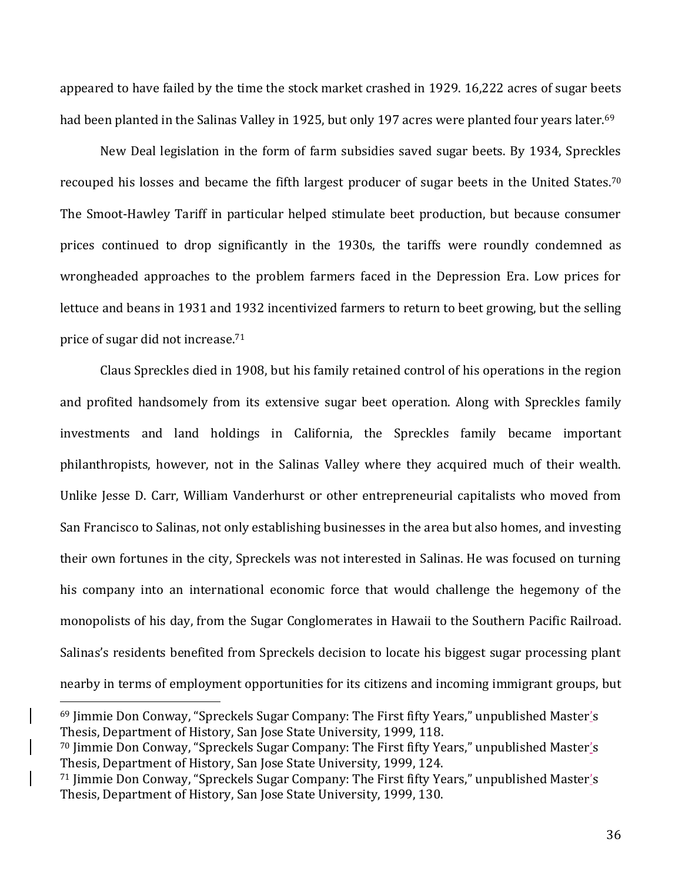appeared to have failed by the time the stock market crashed in 1929. 16,222 acres of sugar beets had been planted in the Salinas Valley in 1925, but only 197 acres were planted four years later.<sup>69</sup>

New Deal legislation in the form of farm subsidies saved sugar beets. By 1934, Spreckles recouped his losses and became the fifth largest producer of sugar beets in the United States.<sup>70</sup> The Smoot-Hawley Tariff in particular helped stimulate beet production, but because consumer prices continued to drop significantly in the 1930s, the tariffs were roundly condemned as wrongheaded approaches to the problem farmers faced in the Depression Era. Low prices for lettuce and beans in 1931 and 1932 incentivized farmers to return to beet growing, but the selling price of sugar did not increase.<sup>71</sup>

Claus Spreckles died in 1908, but his family retained control of his operations in the region and profited handsomely from its extensive sugar beet operation. Along with Spreckles family investments and land holdings in California, the Spreckles family became important philanthropists, however, not in the Salinas Valley where they acquired much of their wealth. Unlike Jesse D. Carr, William Vanderhurst or other entrepreneurial capitalists who moved from San Francisco to Salinas, not only establishing businesses in the area but also homes, and investing their own fortunes in the city, Spreckels was not interested in Salinas. He was focused on turning his company into an international economic force that would challenge the hegemony of the monopolists of his day, from the Sugar Conglomerates in Hawaii to the Southern Pacific Railroad. Salinas's residents benefited from Spreckels decision to locate his biggest sugar processing plant nearby in terms of employment opportunities for its citizens and incoming immigrant groups, but

<sup>69</sup> Jimmie Don Conway, "Spreckels Sugar Company: The First fifty Years," unpublished Master's Thesis, Department of History, San Jose State University, 1999, 118.

<sup>70</sup> Jimmie Don Conway, "Spreckels Sugar Company: The First fifty Years," unpublished Master's Thesis, Department of History, San Jose State University, 1999, 124.

<sup>71</sup> Jimmie Don Conway, "Spreckels Sugar Company: The First fifty Years," unpublished Master's Thesis, Department of History, San Jose State University, 1999, 130.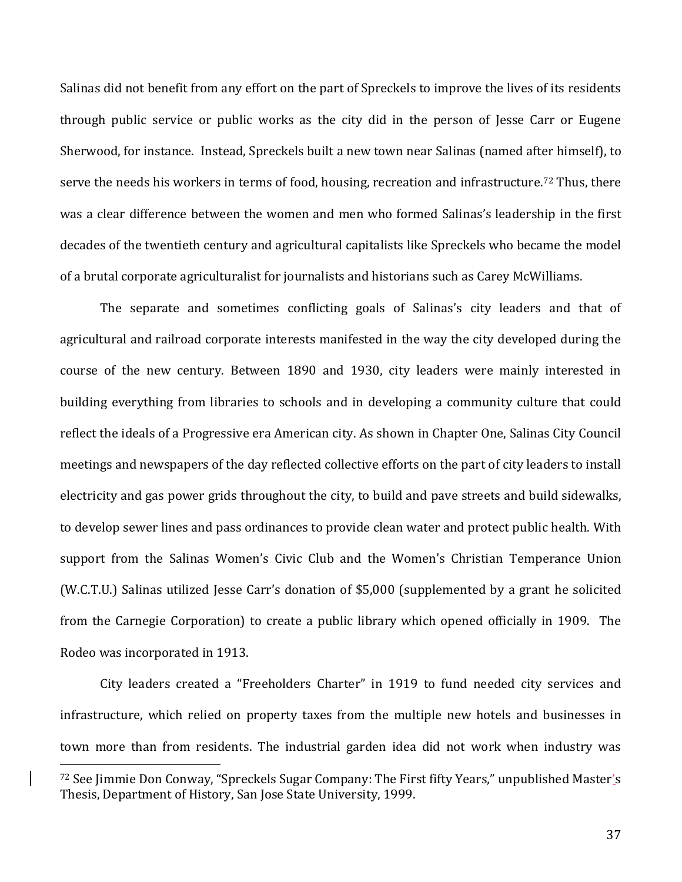Salinas did not benefit from any effort on the part of Spreckels to improve the lives of its residents through public service or public works as the city did in the person of Jesse Carr or Eugene Sherwood, for instance. Instead, Spreckels built a new town near Salinas (named after himself), to serve the needs his workers in terms of food, housing, recreation and infrastructure.<sup>72</sup> Thus, there was a clear difference between the women and men who formed Salinas's leadership in the first decades of the twentieth century and agricultural capitalists like Spreckels who became the model of a brutal corporate agriculturalist for journalists and historians such as Carey McWilliams.

The separate and sometimes conflicting goals of Salinas's city leaders and that of agricultural and railroad corporate interests manifested in the way the city developed during the course of the new century. Between 1890 and 1930, city leaders were mainly interested in building everything from libraries to schools and in developing a community culture that could reflect the ideals of a Progressive era American city. As shown in Chapter One, Salinas City Council meetings and newspapers of the day reflected collective efforts on the part of city leaders to install electricity and gas power grids throughout the city, to build and pave streets and build sidewalks, to develop sewer lines and pass ordinances to provide clean water and protect public health. With support from the Salinas Women's Civic Club and the Women's Christian Temperance Union (W.C.T.U.) Salinas utilized Jesse Carr's donation of \$5,000 (supplemented by a grant he solicited from the Carnegie Corporation) to create a public library which opened officially in 1909. The Rodeo was incorporated in 1913.

City leaders created a "Freeholders Charter" in 1919 to fund needed city services and infrastructure, which relied on property taxes from the multiple new hotels and businesses in town more than from residents. The industrial garden idea did not work when industry was

<sup>72</sup> See Jimmie Don Conway, "Spreckels Sugar Company: The First fifty Years," unpublished Master's Thesis, Department of History, San Jose State University, 1999.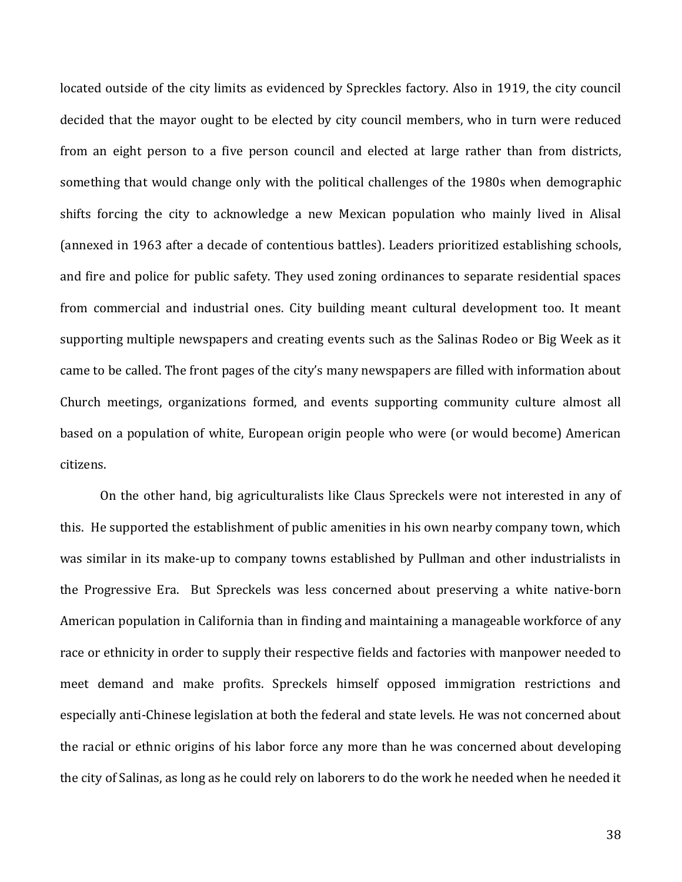located outside of the city limits as evidenced by Spreckles factory. Also in 1919, the city council decided that the mayor ought to be elected by city council members, who in turn were reduced from an eight person to a five person council and elected at large rather than from districts, something that would change only with the political challenges of the 1980s when demographic shifts forcing the city to acknowledge a new Mexican population who mainly lived in Alisal (annexed in 1963 after a decade of contentious battles). Leaders prioritized establishing schools, and fire and police for public safety. They used zoning ordinances to separate residential spaces from commercial and industrial ones. City building meant cultural development too. It meant supporting multiple newspapers and creating events such as the Salinas Rodeo or Big Week as it came to be called. The front pages of the city's many newspapers are filled with information about Church meetings, organizations formed, and events supporting community culture almost all based on a population of white, European origin people who were (or would become) American citizens.

On the other hand, big agriculturalists like Claus Spreckels were not interested in any of this. He supported the establishment of public amenities in his own nearby company town, which was similar in its make-up to company towns established by Pullman and other industrialists in the Progressive Era. But Spreckels was less concerned about preserving a white native-born American population in California than in finding and maintaining a manageable workforce of any race or ethnicity in order to supply their respective fields and factories with manpower needed to meet demand and make profits. Spreckels himself opposed immigration restrictions and especially anti-Chinese legislation at both the federal and state levels. He was not concerned about the racial or ethnic origins of his labor force any more than he was concerned about developing the city of Salinas, as long as he could rely on laborers to do the work he needed when he needed it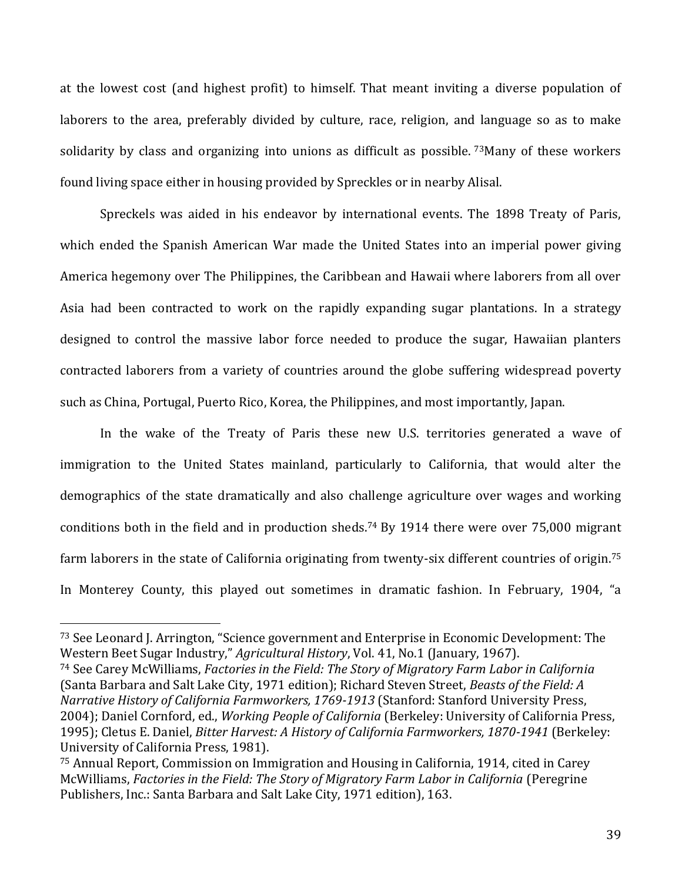at the lowest cost (and highest profit) to himself. That meant inviting a diverse population of laborers to the area, preferably divided by culture, race, religion, and language so as to make solidarity by class and organizing into unions as difficult as possible. <sup>73</sup>Many of these workers found living space either in housing provided by Spreckles or in nearby Alisal.

Spreckels was aided in his endeavor by international events. The 1898 Treaty of Paris, which ended the Spanish American War made the United States into an imperial power giving America hegemony over The Philippines, the Caribbean and Hawaii where laborers from all over Asia had been contracted to work on the rapidly expanding sugar plantations. In a strategy designed to control the massive labor force needed to produce the sugar, Hawaiian planters contracted laborers from a variety of countries around the globe suffering widespread poverty such as China, Portugal, Puerto Rico, Korea, the Philippines, and most importantly, Japan.

In the wake of the Treaty of Paris these new U.S. territories generated a wave of immigration to the United States mainland, particularly to California, that would alter the demographics of the state dramatically and also challenge agriculture over wages and working conditions both in the field and in production sheds.<sup>74</sup> By 1914 there were over 75,000 migrant farm laborers in the state of California originating from twenty-six different countries of origin.<sup>75</sup> In Monterey County, this played out sometimes in dramatic fashion. In February, 1904, "a

 $\overline{a}$ 

<sup>74</sup> See Carey McWilliams, *Factories in the Field: The Story of Migratory Farm Labor in California* (Santa Barbara and Salt Lake City, 1971 edition); Richard Steven Street, *Beasts of the Field: A Narrative History of California Farmworkers, 1769-1913* (Stanford: Stanford University Press, 2004); Daniel Cornford, ed., *Working People of California* (Berkeley: University of California Press, 1995); Cletus E. Daniel, *Bitter Harvest: A History of California Farmworkers, 1870-1941* (Berkeley: University of California Press, 1981).

<sup>73</sup> See Leonard J. Arrington, "Science government and Enterprise in Economic Development: The Western Beet Sugar Industry," *Agricultural History*, Vol. 41, No.1 (January, 1967).

<sup>75</sup> Annual Report, Commission on Immigration and Housing in California, 1914, cited in Carey McWilliams, *Factories in the Field: The Story of Migratory Farm Labor in California* (Peregrine Publishers, Inc.: Santa Barbara and Salt Lake City, 1971 edition), 163.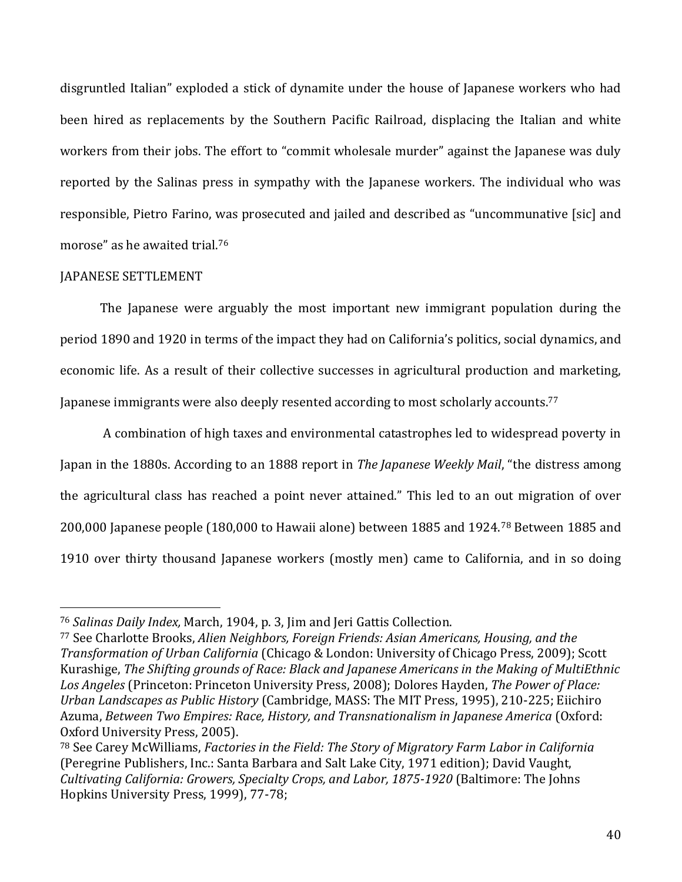disgruntled Italian" exploded a stick of dynamite under the house of Japanese workers who had been hired as replacements by the Southern Pacific Railroad, displacing the Italian and white workers from their jobs. The effort to "commit wholesale murder" against the Japanese was duly reported by the Salinas press in sympathy with the Japanese workers. The individual who was responsible, Pietro Farino, was prosecuted and jailed and described as "uncommunative [sic] and morose" as he awaited trial.<sup>76</sup>

## JAPANESE SETTLEMENT

l

The Japanese were arguably the most important new immigrant population during the period 1890 and 1920 in terms of the impact they had on California's politics, social dynamics, and economic life. As a result of their collective successes in agricultural production and marketing, Japanese immigrants were also deeply resented according to most scholarly accounts.<sup>77</sup>

A combination of high taxes and environmental catastrophes led to widespread poverty in Japan in the 1880s. According to an 1888 report in *The Japanese Weekly Mail*, "the distress among the agricultural class has reached a point never attained." This led to an out migration of over 200,000 Japanese people (180,000 to Hawaii alone) between 1885 and 1924.<sup>78</sup> Between 1885 and 1910 over thirty thousand Japanese workers (mostly men) came to California, and in so doing

<sup>76</sup> *Salinas Daily Index,* March, 1904, p. 3, Jim and Jeri Gattis Collection.

<sup>77</sup> See Charlotte Brooks, *Alien Neighbors, Foreign Friends: Asian Americans, Housing, and the Transformation of Urban California* (Chicago & London: University of Chicago Press, 2009); Scott Kurashige, *The Shifting grounds of Race: Black and Japanese Americans in the Making of MultiEthnic Los Angeles* (Princeton: Princeton University Press, 2008); Dolores Hayden, *The Power of Place: Urban Landscapes as Public History* (Cambridge, MASS: The MIT Press, 1995), 210-225; Eiichiro Azuma, *Between Two Empires: Race, History, and Transnationalism in Japanese America* (Oxford: Oxford University Press, 2005).

<sup>78</sup> See Carey McWilliams, *Factories in the Field: The Story of Migratory Farm Labor in California* (Peregrine Publishers, Inc.: Santa Barbara and Salt Lake City, 1971 edition); David Vaught, *Cultivating California: Growers, Specialty Crops, and Labor, 1875-1920* (Baltimore: The Johns Hopkins University Press, 1999), 77-78;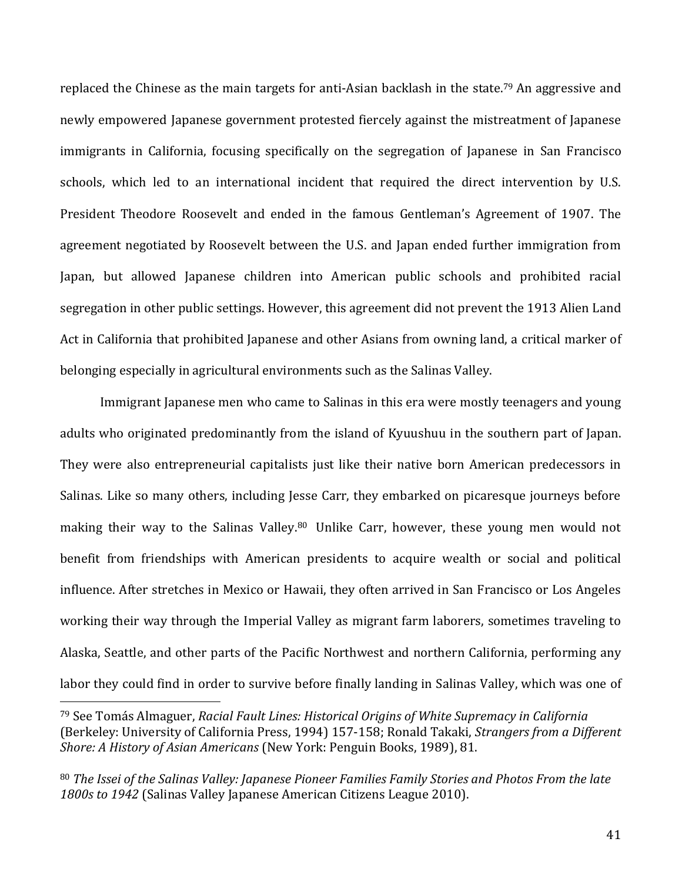replaced the Chinese as the main targets for anti-Asian backlash in the state.<sup>79</sup> An aggressive and newly empowered Japanese government protested fiercely against the mistreatment of Japanese immigrants in California, focusing specifically on the segregation of Japanese in San Francisco schools, which led to an international incident that required the direct intervention by U.S. President Theodore Roosevelt and ended in the famous Gentleman's Agreement of 1907. The agreement negotiated by Roosevelt between the U.S. and Japan ended further immigration from Japan, but allowed Japanese children into American public schools and prohibited racial segregation in other public settings. However, this agreement did not prevent the 1913 Alien Land Act in California that prohibited Japanese and other Asians from owning land, a critical marker of belonging especially in agricultural environments such as the Salinas Valley.

Immigrant Japanese men who came to Salinas in this era were mostly teenagers and young adults who originated predominantly from the island of Kyuushuu in the southern part of Japan. They were also entrepreneurial capitalists just like their native born American predecessors in Salinas. Like so many others, including Jesse Carr, they embarked on picaresque journeys before making their way to the Salinas Valley.<sup>80</sup> Unlike Carr, however, these young men would not benefit from friendships with American presidents to acquire wealth or social and political influence. After stretches in Mexico or Hawaii, they often arrived in San Francisco or Los Angeles working their way through the Imperial Valley as migrant farm laborers, sometimes traveling to Alaska, Seattle, and other parts of the Pacific Northwest and northern California, performing any labor they could find in order to survive before finally landing in Salinas Valley, which was one of

<sup>79</sup> See Tomás Almaguer, *Racial Fault Lines: Historical Origins of White Supremacy in California* (Berkeley: University of California Press, 1994) 157-158; Ronald Takaki, *Strangers from a Different Shore: A History of Asian Americans* (New York: Penguin Books, 1989), 81.

<sup>80</sup> *The Issei of the Salinas Valley: Japanese Pioneer Families Family Stories and Photos From the late 1800s to 1942* (Salinas Valley Japanese American Citizens League 2010).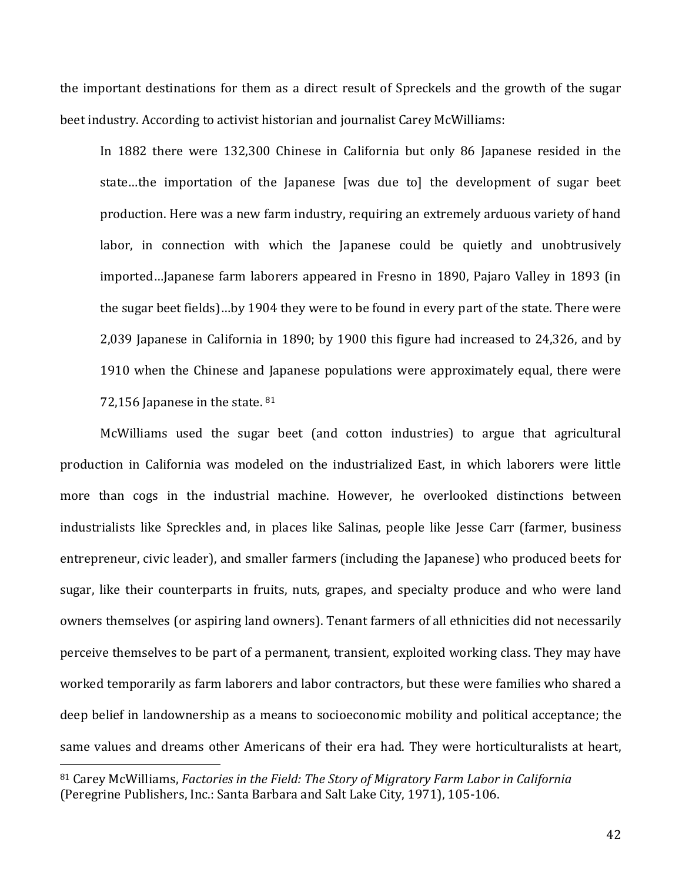the important destinations for them as a direct result of Spreckels and the growth of the sugar beet industry. According to activist historian and journalist Carey McWilliams:

In 1882 there were 132,300 Chinese in California but only 86 Japanese resided in the state…the importation of the Japanese [was due to] the development of sugar beet production. Here was a new farm industry, requiring an extremely arduous variety of hand labor, in connection with which the Japanese could be quietly and unobtrusively imported…Japanese farm laborers appeared in Fresno in 1890, Pajaro Valley in 1893 (in the sugar beet fields)…by 1904 they were to be found in every part of the state. There were 2,039 Japanese in California in 1890; by 1900 this figure had increased to 24,326, and by 1910 when the Chinese and Japanese populations were approximately equal, there were 72,156 Japanese in the state. 81

McWilliams used the sugar beet (and cotton industries) to argue that agricultural production in California was modeled on the industrialized East, in which laborers were little more than cogs in the industrial machine. However, he overlooked distinctions between industrialists like Spreckles and, in places like Salinas, people like Jesse Carr (farmer, business entrepreneur, civic leader), and smaller farmers (including the Japanese) who produced beets for sugar, like their counterparts in fruits, nuts, grapes, and specialty produce and who were land owners themselves (or aspiring land owners). Tenant farmers of all ethnicities did not necessarily perceive themselves to be part of a permanent, transient, exploited working class. They may have worked temporarily as farm laborers and labor contractors, but these were families who shared a deep belief in landownership as a means to socioeconomic mobility and political acceptance; the same values and dreams other Americans of their era had. They were horticulturalists at heart,

<sup>81</sup> Carey McWilliams, *Factories in the Field: The Story of Migratory Farm Labor in California* (Peregrine Publishers, Inc.: Santa Barbara and Salt Lake City, 1971), 105-106.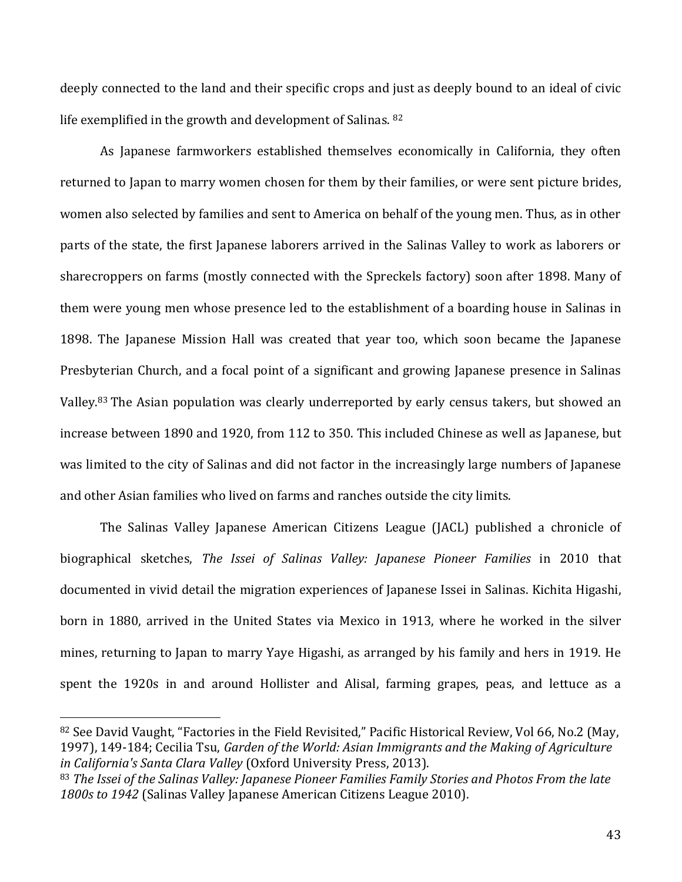deeply connected to the land and their specific crops and just as deeply bound to an ideal of civic life exemplified in the growth and development of Salinas. <sup>82</sup>

As Japanese farmworkers established themselves economically in California, they often returned to Japan to marry women chosen for them by their families, or were sent picture brides, women also selected by families and sent to America on behalf of the young men. Thus, as in other parts of the state, the first Japanese laborers arrived in the Salinas Valley to work as laborers or sharecroppers on farms (mostly connected with the Spreckels factory) soon after 1898. Many of them were young men whose presence led to the establishment of a boarding house in Salinas in 1898. The Japanese Mission Hall was created that year too, which soon became the Japanese Presbyterian Church, and a focal point of a significant and growing Japanese presence in Salinas Valley.<sup>83</sup> The Asian population was clearly underreported by early census takers, but showed an increase between 1890 and 1920, from 112 to 350. This included Chinese as well as Japanese, but was limited to the city of Salinas and did not factor in the increasingly large numbers of Japanese and other Asian families who lived on farms and ranches outside the city limits.

The Salinas Valley Japanese American Citizens League (JACL) published a chronicle of biographical sketches, *The Issei of Salinas Valley: Japanese Pioneer Families* in 2010 that documented in vivid detail the migration experiences of Japanese Issei in Salinas. Kichita Higashi, born in 1880, arrived in the United States via Mexico in 1913, where he worked in the silver mines, returning to Japan to marry Yaye Higashi, as arranged by his family and hers in 1919. He spent the 1920s in and around Hollister and Alisal, farming grapes, peas, and lettuce as a

<sup>82</sup> See David Vaught, "Factories in the Field Revisited," Pacific Historical Review, Vol 66, No.2 (May, 1997), 149-184; Cecilia Tsu, *Garden of the World: Asian Immigrants and the Making of Agriculture in California's Santa Clara Valley* (Oxford University Press, 2013).

<sup>83</sup> *The Issei of the Salinas Valley: Japanese Pioneer Families Family Stories and Photos From the late 1800s to 1942* (Salinas Valley Japanese American Citizens League 2010).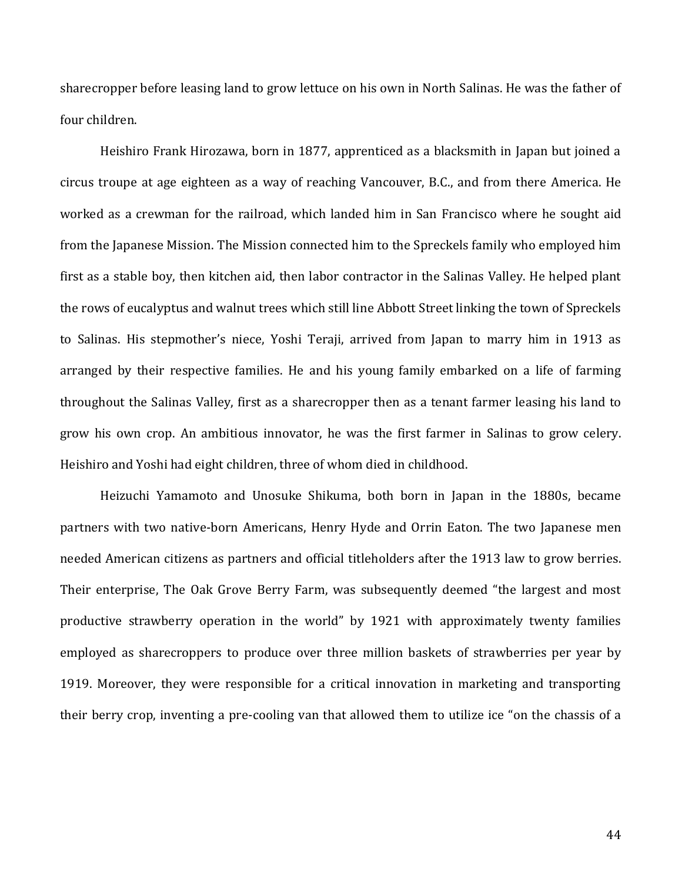sharecropper before leasing land to grow lettuce on his own in North Salinas. He was the father of four children.

Heishiro Frank Hirozawa, born in 1877, apprenticed as a blacksmith in Japan but joined a circus troupe at age eighteen as a way of reaching Vancouver, B.C., and from there America. He worked as a crewman for the railroad, which landed him in San Francisco where he sought aid from the Japanese Mission. The Mission connected him to the Spreckels family who employed him first as a stable boy, then kitchen aid, then labor contractor in the Salinas Valley. He helped plant the rows of eucalyptus and walnut trees which still line Abbott Street linking the town of Spreckels to Salinas. His stepmother's niece, Yoshi Teraji, arrived from Japan to marry him in 1913 as arranged by their respective families. He and his young family embarked on a life of farming throughout the Salinas Valley, first as a sharecropper then as a tenant farmer leasing his land to grow his own crop. An ambitious innovator, he was the first farmer in Salinas to grow celery. Heishiro and Yoshi had eight children, three of whom died in childhood.

Heizuchi Yamamoto and Unosuke Shikuma, both born in Japan in the 1880s, became partners with two native-born Americans, Henry Hyde and Orrin Eaton. The two Japanese men needed American citizens as partners and official titleholders after the 1913 law to grow berries. Their enterprise, The Oak Grove Berry Farm, was subsequently deemed "the largest and most productive strawberry operation in the world" by 1921 with approximately twenty families employed as sharecroppers to produce over three million baskets of strawberries per year by 1919. Moreover, they were responsible for a critical innovation in marketing and transporting their berry crop, inventing a pre-cooling van that allowed them to utilize ice "on the chassis of a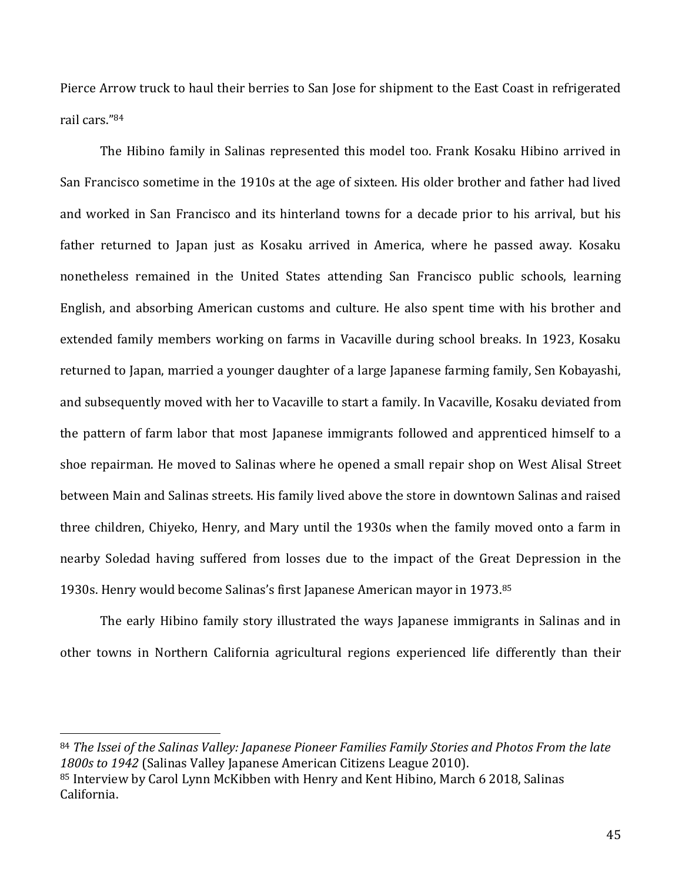Pierce Arrow truck to haul their berries to San Jose for shipment to the East Coast in refrigerated rail cars."<sup>84</sup>

The Hibino family in Salinas represented this model too. Frank Kosaku Hibino arrived in San Francisco sometime in the 1910s at the age of sixteen. His older brother and father had lived and worked in San Francisco and its hinterland towns for a decade prior to his arrival, but his father returned to Japan just as Kosaku arrived in America, where he passed away. Kosaku nonetheless remained in the United States attending San Francisco public schools, learning English, and absorbing American customs and culture. He also spent time with his brother and extended family members working on farms in Vacaville during school breaks. In 1923, Kosaku returned to Japan, married a younger daughter of a large Japanese farming family, Sen Kobayashi, and subsequently moved with her to Vacaville to start a family. In Vacaville, Kosaku deviated from the pattern of farm labor that most Japanese immigrants followed and apprenticed himself to a shoe repairman. He moved to Salinas where he opened a small repair shop on West Alisal Street between Main and Salinas streets. His family lived above the store in downtown Salinas and raised three children, Chiyeko, Henry, and Mary until the 1930s when the family moved onto a farm in nearby Soledad having suffered from losses due to the impact of the Great Depression in the 1930s. Henry would become Salinas's first Japanese American mayor in 1973.<sup>85</sup>

The early Hibino family story illustrated the ways Japanese immigrants in Salinas and in other towns in Northern California agricultural regions experienced life differently than their

<sup>84</sup> *The Issei of the Salinas Valley: Japanese Pioneer Families Family Stories and Photos From the late 1800s to 1942* (Salinas Valley Japanese American Citizens League 2010). <sup>85</sup> Interview by Carol Lynn McKibben with Henry and Kent Hibino, March 6 2018, Salinas California.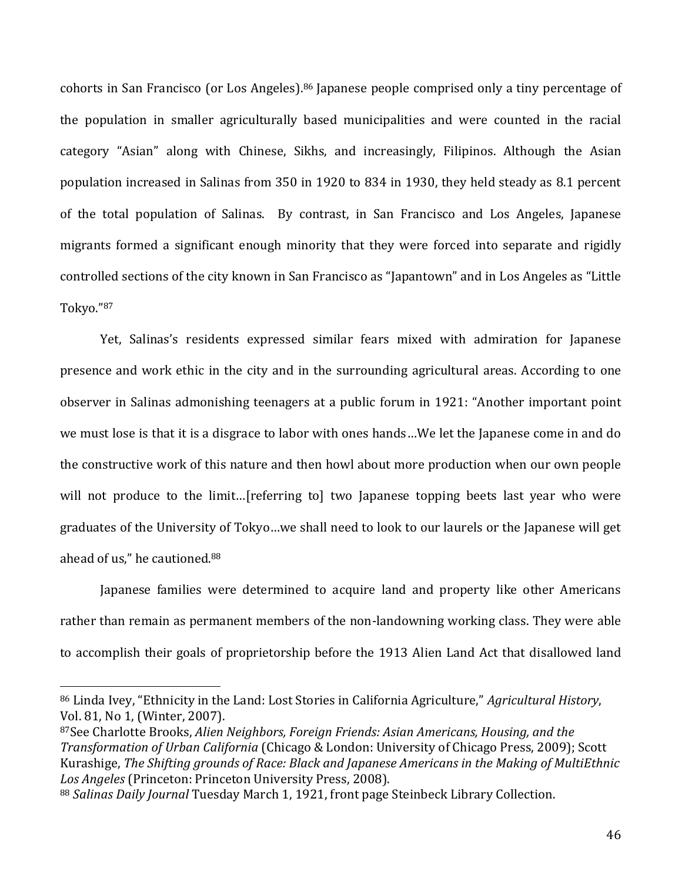cohorts in San Francisco (or Los Angeles).<sup>86</sup> Japanese people comprised only a tiny percentage of the population in smaller agriculturally based municipalities and were counted in the racial category "Asian" along with Chinese, Sikhs, and increasingly, Filipinos. Although the Asian population increased in Salinas from 350 in 1920 to 834 in 1930, they held steady as 8.1 percent of the total population of Salinas. By contrast, in San Francisco and Los Angeles, Japanese migrants formed a significant enough minority that they were forced into separate and rigidly controlled sections of the city known in San Francisco as "Japantown" and in Los Angeles as "Little Tokyo."<sup>87</sup>

Yet, Salinas's residents expressed similar fears mixed with admiration for Japanese presence and work ethic in the city and in the surrounding agricultural areas. According to one observer in Salinas admonishing teenagers at a public forum in 1921: "Another important point we must lose is that it is a disgrace to labor with ones hands…We let the Japanese come in and do the constructive work of this nature and then howl about more production when our own people will not produce to the limit...[referring to] two Japanese topping beets last year who were graduates of the University of Tokyo…we shall need to look to our laurels or the Japanese will get ahead of us," he cautioned.<sup>88</sup>

Japanese families were determined to acquire land and property like other Americans rather than remain as permanent members of the non-landowning working class. They were able to accomplish their goals of proprietorship before the 1913 Alien Land Act that disallowed land

<sup>86</sup> Linda Ivey, "Ethnicity in the Land: Lost Stories in California Agriculture," *Agricultural History*, Vol. 81, No 1, (Winter, 2007).

<sup>87</sup>See Charlotte Brooks, *Alien Neighbors, Foreign Friends: Asian Americans, Housing, and the Transformation of Urban California* (Chicago & London: University of Chicago Press, 2009); Scott Kurashige, *The Shifting grounds of Race: Black and Japanese Americans in the Making of MultiEthnic Los Angeles* (Princeton: Princeton University Press, 2008).

<sup>88</sup> *Salinas Daily Journal* Tuesday March 1, 1921, front page Steinbeck Library Collection.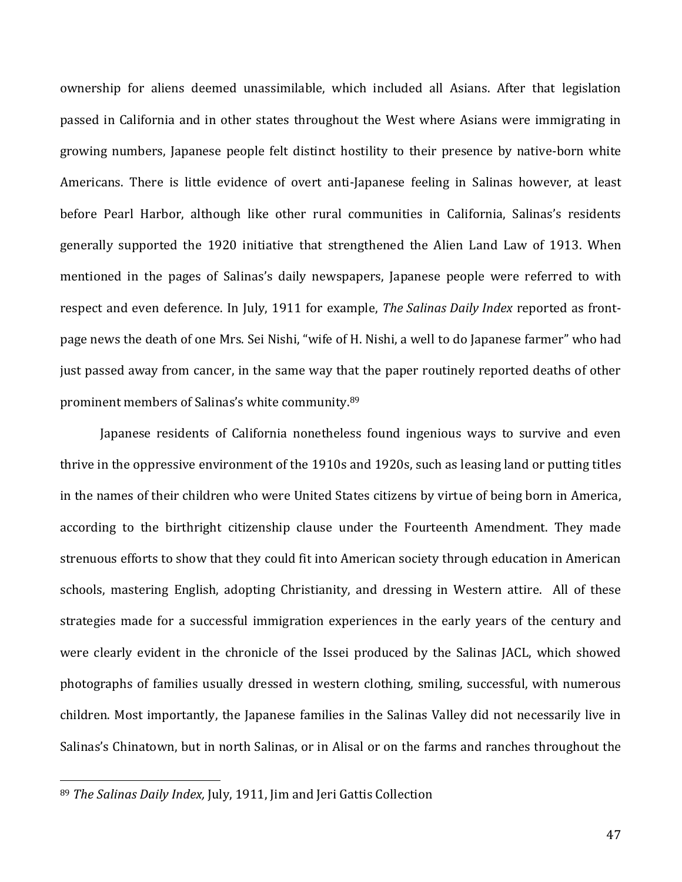ownership for aliens deemed unassimilable, which included all Asians. After that legislation passed in California and in other states throughout the West where Asians were immigrating in growing numbers, Japanese people felt distinct hostility to their presence by native-born white Americans. There is little evidence of overt anti-Japanese feeling in Salinas however, at least before Pearl Harbor, although like other rural communities in California, Salinas's residents generally supported the 1920 initiative that strengthened the Alien Land Law of 1913. When mentioned in the pages of Salinas's daily newspapers, Japanese people were referred to with respect and even deference. In July, 1911 for example, *The Salinas Daily Index* reported as frontpage news the death of one Mrs. Sei Nishi, "wife of H. Nishi, a well to do Japanese farmer" who had just passed away from cancer, in the same way that the paper routinely reported deaths of other prominent members of Salinas's white community.<sup>89</sup>

Japanese residents of California nonetheless found ingenious ways to survive and even thrive in the oppressive environment of the 1910s and 1920s, such as leasing land or putting titles in the names of their children who were United States citizens by virtue of being born in America, according to the birthright citizenship clause under the Fourteenth Amendment. They made strenuous efforts to show that they could fit into American society through education in American schools, mastering English, adopting Christianity, and dressing in Western attire. All of these strategies made for a successful immigration experiences in the early years of the century and were clearly evident in the chronicle of the Issei produced by the Salinas JACL, which showed photographs of families usually dressed in western clothing, smiling, successful, with numerous children. Most importantly, the Japanese families in the Salinas Valley did not necessarily live in Salinas's Chinatown, but in north Salinas, or in Alisal or on the farms and ranches throughout the

<sup>89</sup> *The Salinas Daily Index,* July, 1911, Jim and Jeri Gattis Collection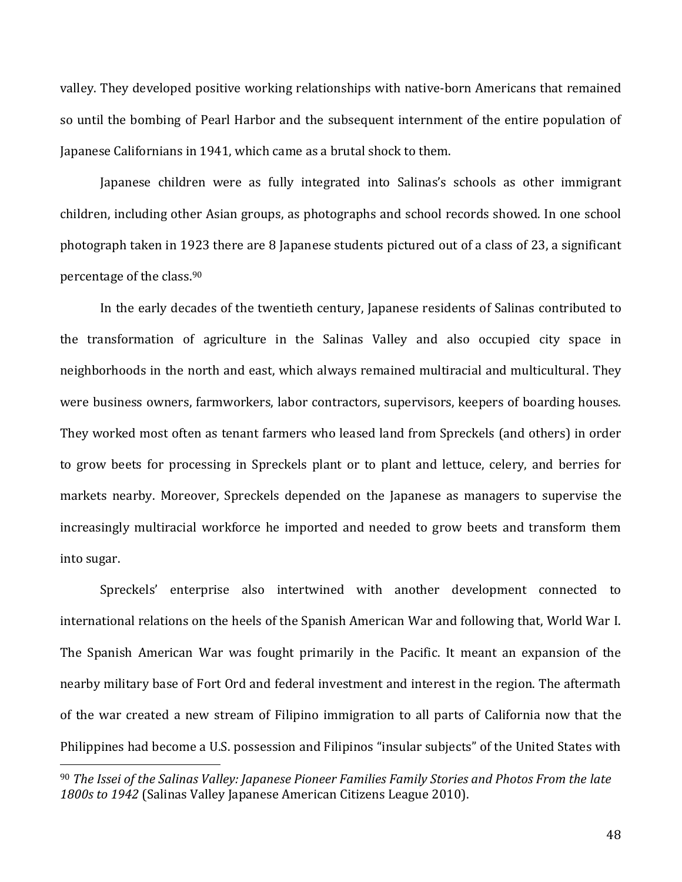valley. They developed positive working relationships with native-born Americans that remained so until the bombing of Pearl Harbor and the subsequent internment of the entire population of Japanese Californians in 1941, which came as a brutal shock to them.

Japanese children were as fully integrated into Salinas's schools as other immigrant children, including other Asian groups, as photographs and school records showed. In one school photograph taken in 1923 there are 8 Japanese students pictured out of a class of 23, a significant percentage of the class.<sup>90</sup>

In the early decades of the twentieth century, Japanese residents of Salinas contributed to the transformation of agriculture in the Salinas Valley and also occupied city space in neighborhoods in the north and east, which always remained multiracial and multicultural. They were business owners, farmworkers, labor contractors, supervisors, keepers of boarding houses. They worked most often as tenant farmers who leased land from Spreckels (and others) in order to grow beets for processing in Spreckels plant or to plant and lettuce, celery, and berries for markets nearby. Moreover, Spreckels depended on the Japanese as managers to supervise the increasingly multiracial workforce he imported and needed to grow beets and transform them into sugar.

Spreckels' enterprise also intertwined with another development connected to international relations on the heels of the Spanish American War and following that, World War I. The Spanish American War was fought primarily in the Pacific. It meant an expansion of the nearby military base of Fort Ord and federal investment and interest in the region. The aftermath of the war created a new stream of Filipino immigration to all parts of California now that the Philippines had become a U.S. possession and Filipinos "insular subjects" of the United States with

<sup>90</sup> *The Issei of the Salinas Valley: Japanese Pioneer Families Family Stories and Photos From the late 1800s to 1942* (Salinas Valley Japanese American Citizens League 2010).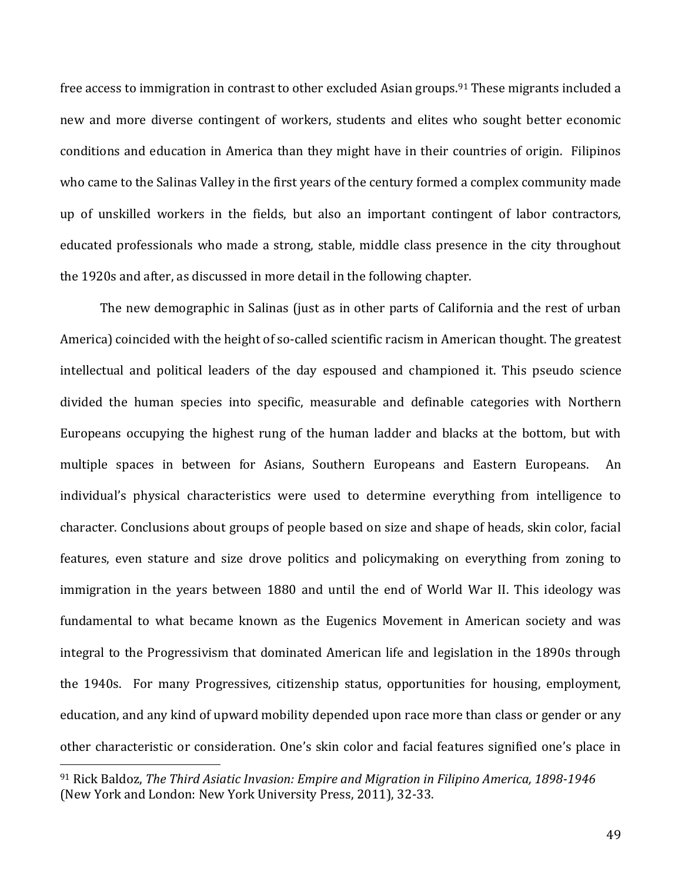free access to immigration in contrast to other excluded Asian groups.<sup>91</sup> These migrants included a new and more diverse contingent of workers, students and elites who sought better economic conditions and education in America than they might have in their countries of origin. Filipinos who came to the Salinas Valley in the first years of the century formed a complex community made up of unskilled workers in the fields, but also an important contingent of labor contractors, educated professionals who made a strong, stable, middle class presence in the city throughout the 1920s and after, as discussed in more detail in the following chapter.

The new demographic in Salinas (just as in other parts of California and the rest of urban America) coincided with the height of so-called scientific racism in American thought. The greatest intellectual and political leaders of the day espoused and championed it. This pseudo science divided the human species into specific, measurable and definable categories with Northern Europeans occupying the highest rung of the human ladder and blacks at the bottom, but with multiple spaces in between for Asians, Southern Europeans and Eastern Europeans. An individual's physical characteristics were used to determine everything from intelligence to character. Conclusions about groups of people based on size and shape of heads, skin color, facial features, even stature and size drove politics and policymaking on everything from zoning to immigration in the years between 1880 and until the end of World War II. This ideology was fundamental to what became known as the Eugenics Movement in American society and was integral to the Progressivism that dominated American life and legislation in the 1890s through the 1940s. For many Progressives, citizenship status, opportunities for housing, employment, education, and any kind of upward mobility depended upon race more than class or gender or any other characteristic or consideration. One's skin color and facial features signified one's place in

<sup>91</sup> Rick Baldoz, *The Third Asiatic Invasion: Empire and Migration in Filipino America, 1898-1946* (New York and London: New York University Press, 2011), 32-33.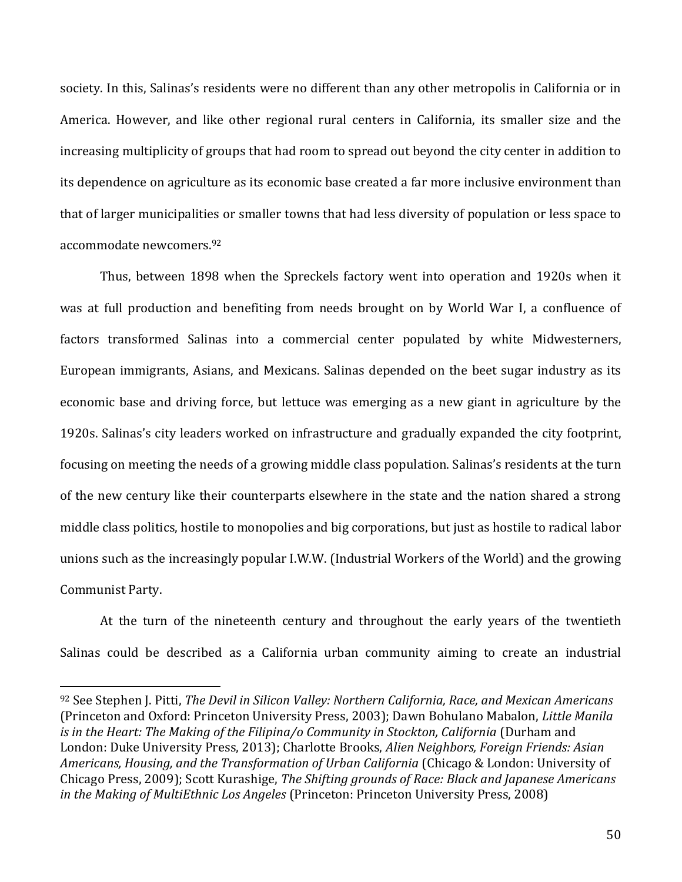society. In this, Salinas's residents were no different than any other metropolis in California or in America. However, and like other regional rural centers in California, its smaller size and the increasing multiplicity of groups that had room to spread out beyond the city center in addition to its dependence on agriculture as its economic base created a far more inclusive environment than that of larger municipalities or smaller towns that had less diversity of population or less space to accommodate newcomers. 92

Thus, between 1898 when the Spreckels factory went into operation and 1920s when it was at full production and benefiting from needs brought on by World War I, a confluence of factors transformed Salinas into a commercial center populated by white Midwesterners, European immigrants, Asians, and Mexicans. Salinas depended on the beet sugar industry as its economic base and driving force, but lettuce was emerging as a new giant in agriculture by the 1920s. Salinas's city leaders worked on infrastructure and gradually expanded the city footprint, focusing on meeting the needs of a growing middle class population. Salinas's residents at the turn of the new century like their counterparts elsewhere in the state and the nation shared a strong middle class politics, hostile to monopolies and big corporations, but just as hostile to radical labor unions such as the increasingly popular I.W.W. (Industrial Workers of the World) and the growing Communist Party.

At the turn of the nineteenth century and throughout the early years of the twentieth Salinas could be described as a California urban community aiming to create an industrial

<sup>92</sup> See Stephen J. Pitti, *The Devil in Silicon Valley: Northern California, Race, and Mexican Americans* (Princeton and Oxford: Princeton University Press, 2003); Dawn Bohulano Mabalon, *Little Manila is in the Heart: The Making of the Filipina/o Community in Stockton, California* (Durham and London: Duke University Press, 2013); Charlotte Brooks, *Alien Neighbors, Foreign Friends: Asian Americans, Housing, and the Transformation of Urban California* (Chicago & London: University of Chicago Press, 2009); Scott Kurashige, *The Shifting grounds of Race: Black and Japanese Americans in the Making of MultiEthnic Los Angeles* (Princeton: Princeton University Press, 2008)